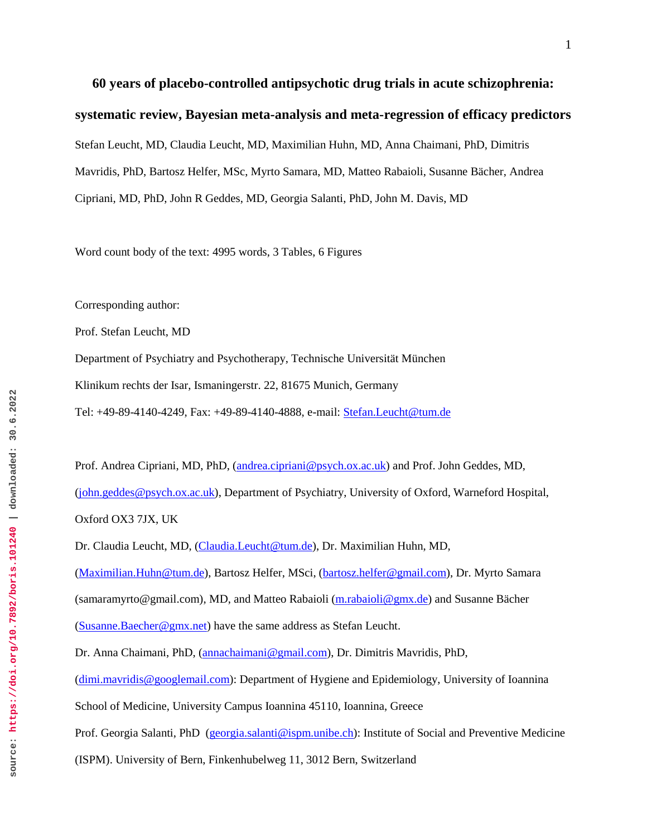**60 years of placebo-controlled antipsychotic drug trials in acute schizophrenia: systematic review, Bayesian meta-analysis and meta-regression of efficacy predictors** Stefan Leucht, MD, Claudia Leucht, MD, Maximilian Huhn, MD, Anna Chaimani, PhD, Dimitris Mavridis, PhD, Bartosz Helfer, MSc, Myrto Samara, MD, Matteo Rabaioli, Susanne Bächer, Andrea Cipriani, MD, PhD, John R Geddes, MD, Georgia Salanti, PhD, John M. Davis, MD

Word count body of the text: 4995 words, 3 Tables, 6 Figures

Corresponding author:

Prof. Stefan Leucht, MD

Department of Psychiatry and Psychotherapy, Technische Universität München Klinikum rechts der Isar, Ismaningerstr. 22, 81675 Munich, Germany Tel: +49-89-4140-4249, Fax: +49-89-4140-4888, e-mail: [Stefan.Leucht@tum.de](mailto:Stefan.Leucht@tum.de)

Prof. Andrea Cipriani, MD, PhD, [\(andrea.cipriani@psych.ox.ac.uk\)](mailto:andrea.cipriani@psych.ox.ac.uk) and Prof. John Geddes, MD, [\(john.geddes@psych.ox.ac.uk\)](mailto:john.geddes@psych.ox.ac.uk), Department of Psychiatry, University of Oxford, Warneford Hospital, Oxford OX3 7JX, UK Dr. Claudia Leucht, MD, [\(Claudia.Leucht@tum.de\)](mailto:Claudia.Leucht@tum.de), Dr. Maximilian Huhn, MD,

[\(Maximilian.Huhn@tum.de\)](mailto:Maximilian.Huhn@tum.de), Bartosz Helfer, MSci, [\(bartosz.helfer@gmail.com\)](mailto:bartosz.helfer@gmail.com), Dr. Myrto Samara

(samaramyrto@gmail.com), MD, and Matteo Rabaioli [\(m.rabaioli@gmx.de\)](mailto:m.rabaioli@gmx.de) and Susanne Bächer

[\(Susanne.Baecher@gmx.net\)](mailto:Susanne.Baecher@gmx.net) have the same address as Stefan Leucht.

Dr. Anna Chaimani, PhD, [\(annachaimani@gmail.com\)](mailto:annachaimani@gmail.com), Dr. Dimitris Mavridis, PhD,

[\(dimi.mavridis@googlemail.com\)](mailto:dimi.mavridis@googlemail.com): Department of Hygiene and Epidemiology, University of Ioannina

School of Medicine, University Campus Ioannina 45110, Ioannina, Greece

Prof. Georgia Salanti, PhD [\(georgia.salanti@ispm.unibe.ch\)](mailto:georgia.salanti@ispm.unibe.ch): Institute of Social and Preventive Medicine

(ISPM). University of Bern, Finkenhubelweg 11, 3012 Bern, Switzerland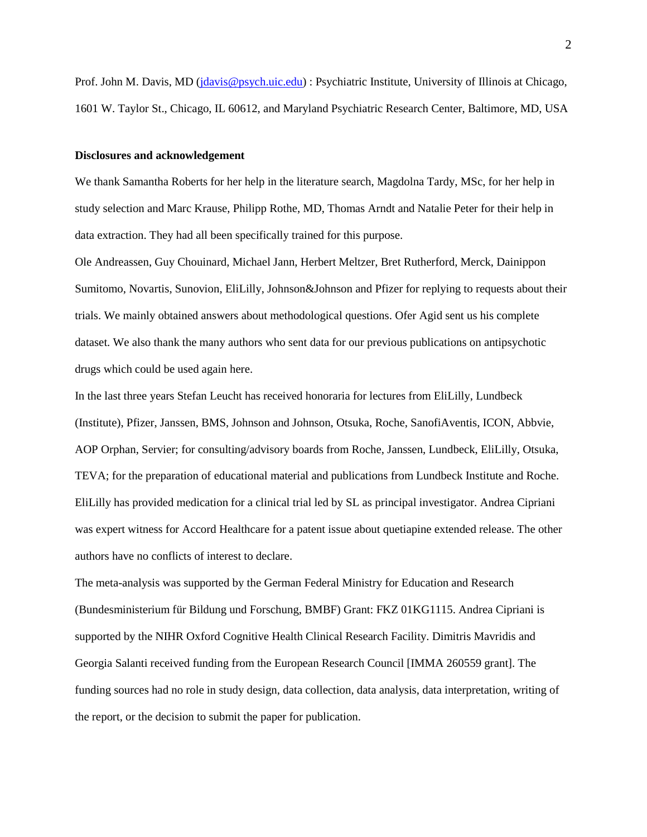Prof. John M. Davis, MD [\(jdavis@psych.uic.edu\)](mailto:jdavis@psych.uic.edu) : Psychiatric Institute, University of Illinois at Chicago, 1601 W. Taylor St., Chicago, IL 60612, and Maryland Psychiatric Research Center, Baltimore, MD, USA

#### **Disclosures and acknowledgement**

We thank Samantha Roberts for her help in the literature search, Magdolna Tardy, MSc, for her help in study selection and Marc Krause, Philipp Rothe, MD, Thomas Arndt and Natalie Peter for their help in data extraction. They had all been specifically trained for this purpose.

Ole Andreassen, Guy Chouinard, Michael Jann, Herbert Meltzer, Bret Rutherford, Merck, Dainippon Sumitomo, Novartis, Sunovion, EliLilly, Johnson&Johnson and Pfizer for replying to requests about their trials. We mainly obtained answers about methodological questions. Ofer Agid sent us his complete dataset. We also thank the many authors who sent data for our previous publications on antipsychotic drugs which could be used again here.

In the last three years Stefan Leucht has received honoraria for lectures from EliLilly, Lundbeck (Institute), Pfizer, Janssen, BMS, Johnson and Johnson, Otsuka, Roche, SanofiAventis, ICON, Abbvie, AOP Orphan, Servier; for consulting/advisory boards from Roche, Janssen, Lundbeck, EliLilly, Otsuka, TEVA; for the preparation of educational material and publications from Lundbeck Institute and Roche. EliLilly has provided medication for a clinical trial led by SL as principal investigator. Andrea Cipriani was expert witness for Accord Healthcare for a patent issue about quetiapine extended release. The other authors have no conflicts of interest to declare.

The meta-analysis was supported by the German Federal Ministry for Education and Research (Bundesministerium für Bildung und Forschung, BMBF) Grant: FKZ 01KG1115. Andrea Cipriani is supported by the NIHR Oxford Cognitive Health Clinical Research Facility. Dimitris Mavridis and Georgia Salanti received funding from the European Research Council [IMMA 260559 grant]. The funding sources had no role in study design, data collection, data analysis, data interpretation, writing of the report, or the decision to submit the paper for publication.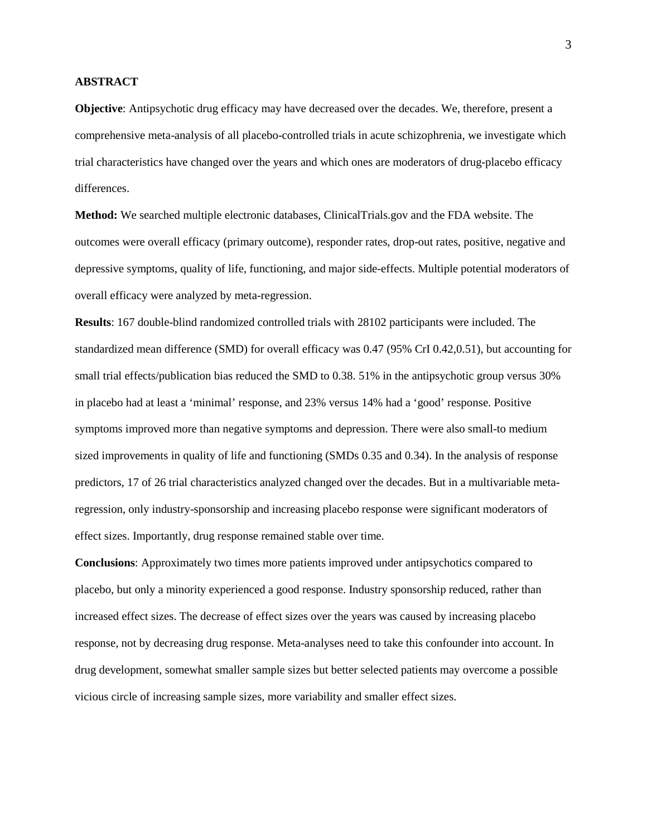# **ABSTRACT**

**Objective**: Antipsychotic drug efficacy may have decreased over the decades. We, therefore, present a comprehensive meta-analysis of all placebo-controlled trials in acute schizophrenia, we investigate which trial characteristics have changed over the years and which ones are moderators of drug-placebo efficacy differences.

**Method:** We searched multiple electronic databases, ClinicalTrials.gov and the FDA website. The outcomes were overall efficacy (primary outcome), responder rates, drop-out rates, positive, negative and depressive symptoms, quality of life, functioning, and major side-effects. Multiple potential moderators of overall efficacy were analyzed by meta-regression.

**Results**: 167 double-blind randomized controlled trials with 28102 participants were included. The standardized mean difference (SMD) for overall efficacy was 0.47 (95% CrI 0.42,0.51), but accounting for small trial effects/publication bias reduced the SMD to 0.38. 51% in the antipsychotic group versus 30% in placebo had at least a 'minimal' response, and 23% versus 14% had a 'good' response. Positive symptoms improved more than negative symptoms and depression. There were also small-to medium sized improvements in quality of life and functioning (SMDs 0.35 and 0.34). In the analysis of response predictors, 17 of 26 trial characteristics analyzed changed over the decades. But in a multivariable metaregression, only industry-sponsorship and increasing placebo response were significant moderators of effect sizes. Importantly, drug response remained stable over time.

**Conclusions**: Approximately two times more patients improved under antipsychotics compared to placebo, but only a minority experienced a good response. Industry sponsorship reduced, rather than increased effect sizes. The decrease of effect sizes over the years was caused by increasing placebo response, not by decreasing drug response. Meta-analyses need to take this confounder into account. In drug development, somewhat smaller sample sizes but better selected patients may overcome a possible vicious circle of increasing sample sizes, more variability and smaller effect sizes.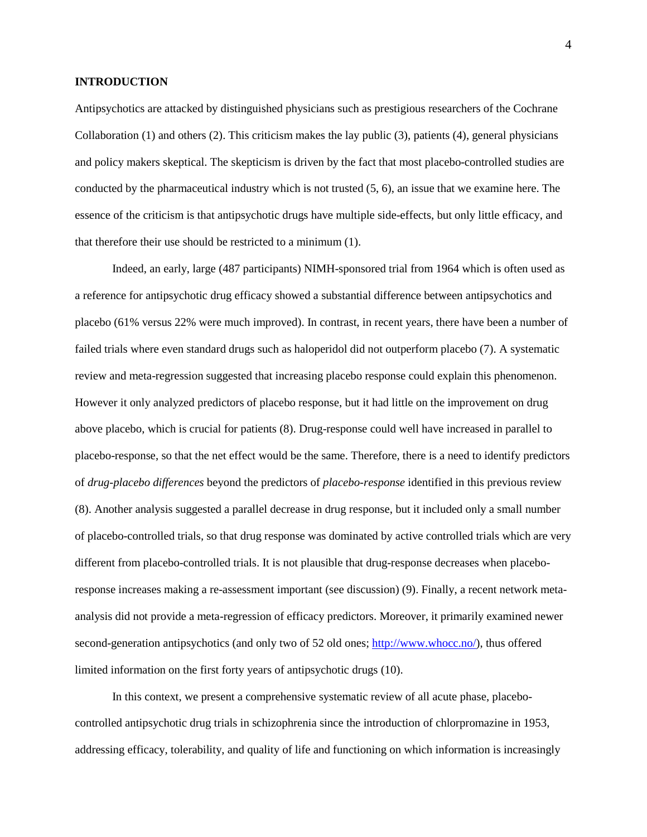### **INTRODUCTION**

Antipsychotics are attacked by distinguished physicians such as prestigious researchers of the Cochrane Collaboration [\(1\)](#page-19-0) and others [\(2\)](#page-19-1). This criticism makes the lay public [\(3\)](#page-19-2), patients [\(4\)](#page-19-3), general physicians and policy makers skeptical. The skepticism is driven by the fact that most placebo-controlled studies are conducted by the pharmaceutical industry which is not trusted [\(5,](#page-19-4) [6\)](#page-19-5), an issue that we examine here. The essence of the criticism is that antipsychotic drugs have multiple side-effects, but only little efficacy, and that therefore their use should be restricted to a minimum [\(1\)](#page-19-0).

Indeed, an early, large (487 participants) NIMH-sponsored trial from 1964 which is often used as a reference for antipsychotic drug efficacy showed a substantial difference between antipsychotics and placebo (61% versus 22% were much improved). In contrast, in recent years, there have been a number of failed trials where even standard drugs such as haloperidol did not outperform placebo [\(7\)](#page-19-6). A systematic review and meta-regression suggested that increasing placebo response could explain this phenomenon. However it only analyzed predictors of placebo response, but it had little on the improvement on drug above placebo, which is crucial for patients [\(8\)](#page-19-7). Drug-response could well have increased in parallel to placebo-response, so that the net effect would be the same. Therefore, there is a need to identify predictors of *drug-placebo differences* beyond the predictors of *placebo-response* identified in this previous review [\(8\)](#page-19-7). Another analysis suggested a parallel decrease in drug response, but it included only a small number of placebo-controlled trials, so that drug response was dominated by active controlled trials which are very different from placebo-controlled trials. It is not plausible that drug-response decreases when placeboresponse increases making a re-assessment important (see discussion) [\(9\)](#page-19-8). Finally, a recent network metaanalysis did not provide a meta-regression of efficacy predictors. Moreover, it primarily examined newer second-generation antipsychotics (and only two of 52 old ones; [http://www.whocc.no/\)](http://www.whocc.no/), thus offered limited information on the first forty years of antipsychotic drugs [\(10\)](#page-19-9).

In this context, we present a comprehensive systematic review of all acute phase, placebocontrolled antipsychotic drug trials in schizophrenia since the introduction of chlorpromazine in 1953, addressing efficacy, tolerability, and quality of life and functioning on which information is increasingly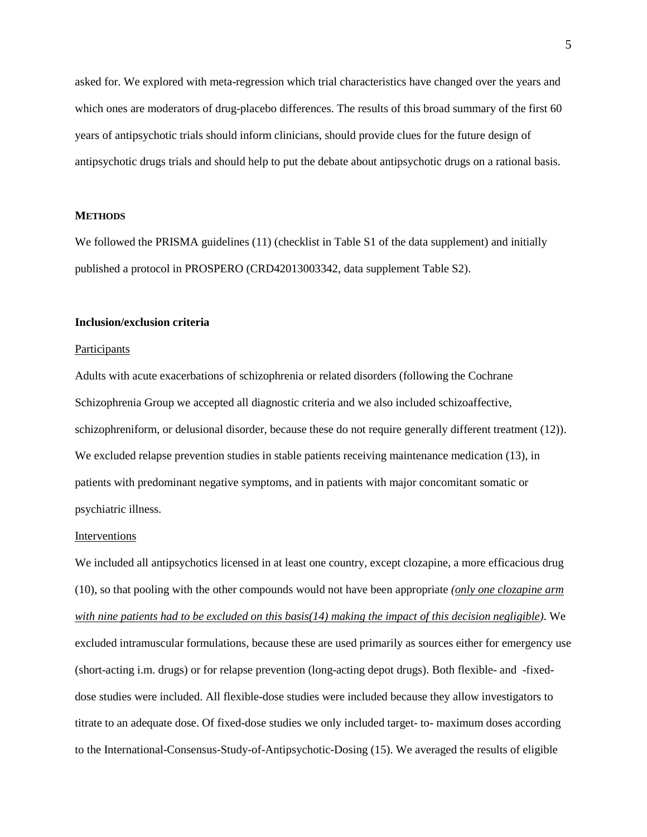asked for. We explored with meta-regression which trial characteristics have changed over the years and which ones are moderators of drug-placebo differences. The results of this broad summary of the first 60 years of antipsychotic trials should inform clinicians, should provide clues for the future design of antipsychotic drugs trials and should help to put the debate about antipsychotic drugs on a rational basis.

#### **METHODS**

We followed the PRISMA guidelines [\(11\)](#page-19-10) (checklist in Table S1 of the data supplement) and initially published a protocol in PROSPERO (CRD42013003342, data supplement Table S2).

### **Inclusion/exclusion criteria**

#### Participants

Adults with acute exacerbations of schizophrenia or related disorders (following the Cochrane Schizophrenia Group we accepted all diagnostic criteria and we also included schizoaffective, schizophreniform, or delusional disorder, because these do not require generally different treatment [\(12\)](#page-19-11)). We excluded relapse prevention studies in stable patients receiving maintenance medication [\(13\)](#page-19-12), in patients with predominant negative symptoms, and in patients with major concomitant somatic or psychiatric illness.

### Interventions

We included all antipsychotics licensed in at least one country, except clozapine, a more efficacious drug [\(10\)](#page-19-9), so that pooling with the other compounds would not have been appropriate *(only one clozapine arm with nine patients had to be excluded on this basis[\(14\)](#page-19-13) making the impact of this decision negligible)*. We excluded intramuscular formulations, because these are used primarily as sources either for emergency use (short-acting i.m. drugs) or for relapse prevention (long-acting depot drugs). Both flexible- and -fixeddose studies were included. All flexible-dose studies were included because they allow investigators to titrate to an adequate dose. Of fixed-dose studies we only included target- to- maximum doses according to the International-Consensus-Study-of-Antipsychotic-Dosing [\(15\)](#page-19-14). We averaged the results of eligible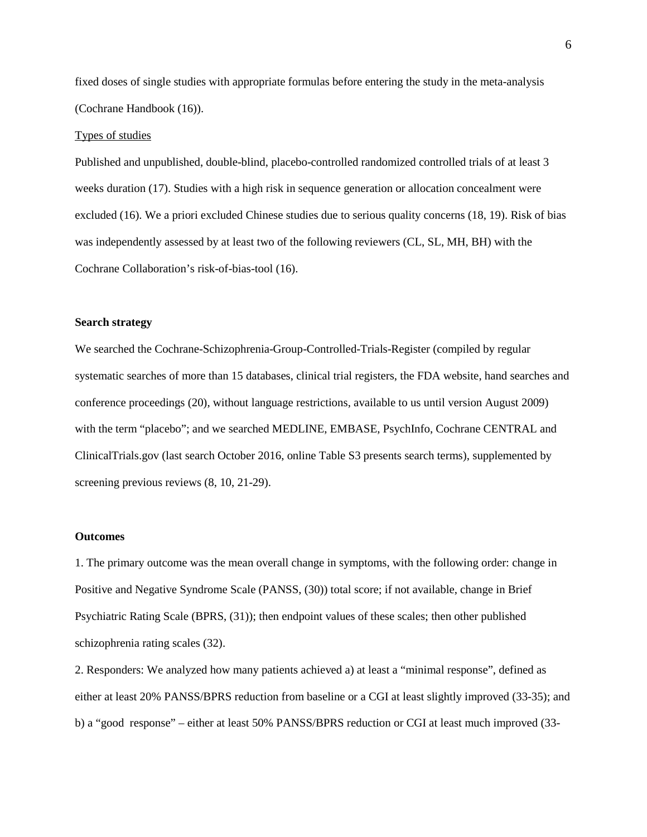fixed doses of single studies with appropriate formulas before entering the study in the meta-analysis (Cochrane Handbook [\(16\)](#page-19-15)).

#### Types of studies

Published and unpublished, double-blind, placebo-controlled randomized controlled trials of at least 3 weeks duration [\(17\)](#page-19-16). Studies with a high risk in sequence generation or allocation concealment were excluded [\(16\)](#page-19-15). We a priori excluded Chinese studies due to serious quality concerns [\(18,](#page-19-17) [19\)](#page-19-18). Risk of bias was independently assessed by at least two of the following reviewers (CL, SL, MH, BH) with the Cochrane Collaboration's risk-of-bias-tool [\(16\)](#page-19-15).

#### **Search strategy**

We searched the Cochrane-Schizophrenia-Group-Controlled-Trials-Register (compiled by regular systematic searches of more than 15 databases, clinical trial registers, the FDA website, hand searches and conference proceedings [\(20\)](#page-19-19), without language restrictions, available to us until version August 2009) with the term "placebo"; and we searched MEDLINE, EMBASE, PsychInfo, Cochrane CENTRAL and ClinicalTrials.gov (last search October 2016, online Table S3 presents search terms), supplemented by screening previous reviews [\(8,](#page-19-7) [10,](#page-19-9) [21-29\)](#page-19-20).

#### **Outcomes**

1. The primary outcome was the mean overall change in symptoms, with the following order: change in Positive and Negative Syndrome Scale (PANSS, [\(30\)](#page-20-0)) total score; if not available, change in Brief Psychiatric Rating Scale (BPRS, [\(31\)](#page-20-1)); then endpoint values of these scales; then other published schizophrenia rating scales [\(32\)](#page-20-2).

2. Responders: We analyzed how many patients achieved a) at least a "minimal response", defined as either at least 20% PANSS/BPRS reduction from baseline or a CGI at least slightly improved [\(33-35\)](#page-20-3); and b) a "good response" – either at least 50% PANSS/BPRS reduction or CGI at least much improved [\(33-](#page-20-3)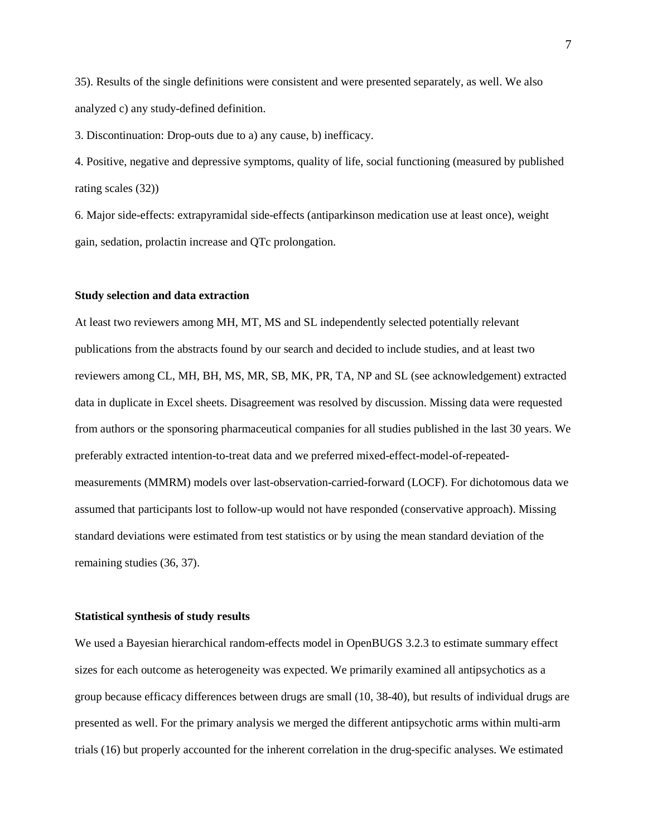[35\)](#page-20-3). Results of the single definitions were consistent and were presented separately, as well. We also analyzed c) any study-defined definition.

3. Discontinuation: Drop-outs due to a) any cause, b) inefficacy.

4. Positive, negative and depressive symptoms, quality of life, social functioning (measured by published rating scales [\(32\)](#page-20-2))

6. Major side-effects: extrapyramidal side-effects (antiparkinson medication use at least once), weight gain, sedation, prolactin increase and QTc prolongation.

#### **Study selection and data extraction**

At least two reviewers among MH, MT, MS and SL independently selected potentially relevant publications from the abstracts found by our search and decided to include studies, and at least two reviewers among CL, MH, BH, MS, MR, SB, MK, PR, TA, NP and SL (see acknowledgement) extracted data in duplicate in Excel sheets. Disagreement was resolved by discussion. Missing data were requested from authors or the sponsoring pharmaceutical companies for all studies published in the last 30 years. We preferably extracted intention-to-treat data and we preferred mixed-effect-model-of-repeatedmeasurements (MMRM) models over last-observation-carried-forward (LOCF). For dichotomous data we assumed that participants lost to follow-up would not have responded (conservative approach). Missing standard deviations were estimated from test statistics or by using the mean standard deviation of the remaining studies [\(36,](#page-20-4) [37\)](#page-20-5).

#### **Statistical synthesis of study results**

We used a Bayesian hierarchical random-effects model in OpenBUGS 3.2.3 to estimate summary effect sizes for each outcome as heterogeneity was expected. We primarily examined all antipsychotics as a group because efficacy differences between drugs are small [\(10,](#page-19-9) [38-40\)](#page-20-6), but results of individual drugs are presented as well. For the primary analysis we merged the different antipsychotic arms within multi-arm trials [\(16\)](#page-19-15) but properly accounted for the inherent correlation in the drug-specific analyses. We estimated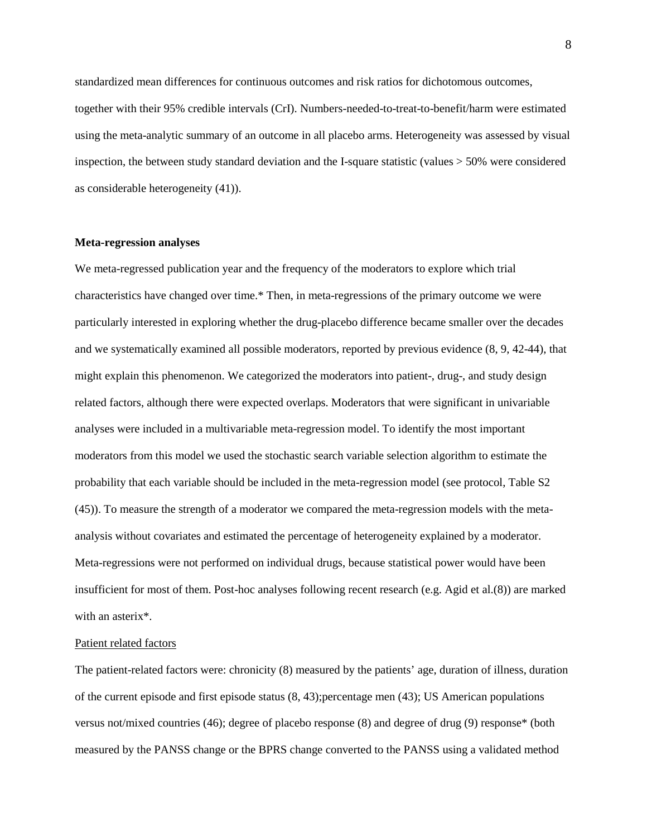standardized mean differences for continuous outcomes and risk ratios for dichotomous outcomes, together with their 95% credible intervals (CrI). Numbers-needed-to-treat-to-benefit/harm were estimated using the meta-analytic summary of an outcome in all placebo arms. Heterogeneity was assessed by visual inspection, the between study standard deviation and the I-square statistic (values > 50% were considered as considerable heterogeneity [\(41\)](#page-20-7)).

#### **Meta-regression analyses**

We meta-regressed publication year and the frequency of the moderators to explore which trial characteristics have changed over time.\* Then, in meta-regressions of the primary outcome we were particularly interested in exploring whether the drug-placebo difference became smaller over the decades and we systematically examined all possible moderators, reported by previous evidence [\(8,](#page-19-7) [9,](#page-19-8) [42-44\)](#page-20-8), that might explain this phenomenon. We categorized the moderators into patient-, drug-, and study design related factors, although there were expected overlaps. Moderators that were significant in univariable analyses were included in a multivariable meta-regression model. To identify the most important moderators from this model we used the stochastic search variable selection algorithm to estimate the probability that each variable should be included in the meta-regression model (see protocol, Table S2 [\(45\)](#page-21-0)). To measure the strength of a moderator we compared the meta-regression models with the metaanalysis without covariates and estimated the percentage of heterogeneity explained by a moderator. Meta-regressions were not performed on individual drugs, because statistical power would have been insufficient for most of them. Post-hoc analyses following recent research (e.g. Agid et al.[\(8\)](#page-19-7)) are marked with an asterix\*.

# Patient related factors

The patient-related factors were: chronicity [\(8\)](#page-19-7) measured by the patients' age, duration of illness, duration of the current episode and first episode status  $(8, 43)$  $(8, 43)$ ; percentage men  $(43)$ ; US American populations versus not/mixed countries [\(46\)](#page-21-2); degree of placebo response [\(8\)](#page-19-7) and degree of drug [\(9\)](#page-19-8) response\* (both measured by the PANSS change or the BPRS change converted to the PANSS using a validated method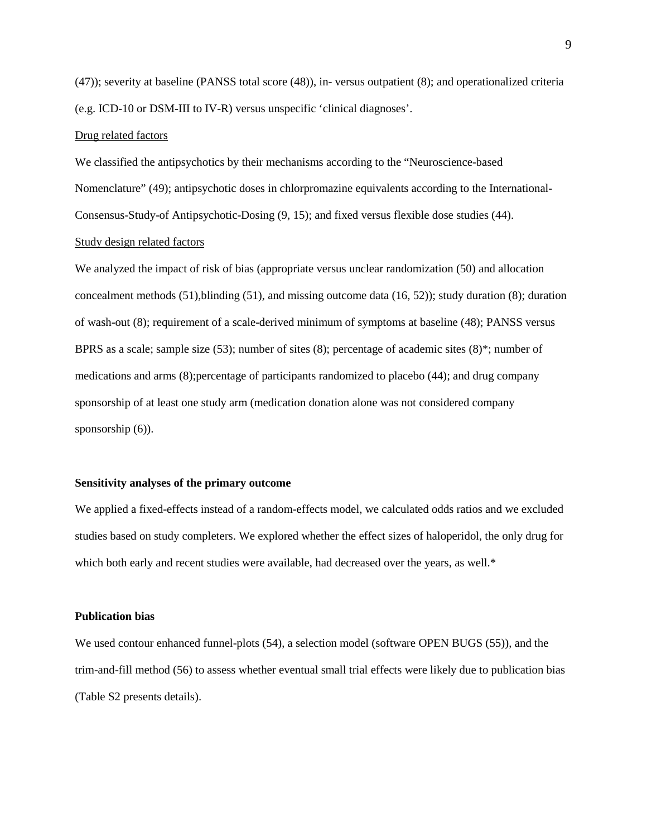[\(47\)](#page-21-3)); severity at baseline (PANSS total score [\(48\)](#page-21-4)), in- versus outpatient [\(8\)](#page-19-7); and operationalized criteria (e.g. ICD-10 or DSM-III to IV-R) versus unspecific 'clinical diagnoses'.

#### Drug related factors

We classified the antipsychotics by their mechanisms according to the "Neuroscience-based Nomenclature" [\(49\)](#page-21-5); antipsychotic doses in chlorpromazine equivalents according to the International-Consensus-Study-of Antipsychotic-Dosing [\(9,](#page-19-8) [15\)](#page-19-14); and fixed versus flexible dose studies [\(44\)](#page-21-6). Study design related factors

We analyzed the impact of risk of bias (appropriate versus unclear randomization  $(50)$ ) and allocation concealment methods  $(51)$ , blinding  $(51)$ , and missing outcome data  $(16, 52)$  $(16, 52)$ ; study duration  $(8)$ ; duration of wash-out [\(8\)](#page-19-7); requirement of a scale-derived minimum of symptoms at baseline [\(48\)](#page-21-4); PANSS versus BPRS as a scale; sample size [\(53\)](#page-21-10); number of sites [\(8\)](#page-19-7); percentage of academic sites [\(8\)](#page-19-7)\*; number of medications and arms [\(8\)](#page-19-7);percentage of participants randomized to placebo [\(44\)](#page-21-6); and drug company sponsorship of at least one study arm (medication donation alone was not considered company sponsorship  $(6)$ ).

### **Sensitivity analyses of the primary outcome**

We applied a fixed-effects instead of a random-effects model, we calculated odds ratios and we excluded studies based on study completers. We explored whether the effect sizes of haloperidol, the only drug for which both early and recent studies were available, had decreased over the years, as well.\*

#### **Publication bias**

We used contour enhanced funnel-plots [\(54\)](#page-21-11), a selection model (software OPEN BUGS [\(55\)](#page-21-12)), and the trim-and-fill method [\(56\)](#page-21-13) to assess whether eventual small trial effects were likely due to publication bias (Table S2 presents details).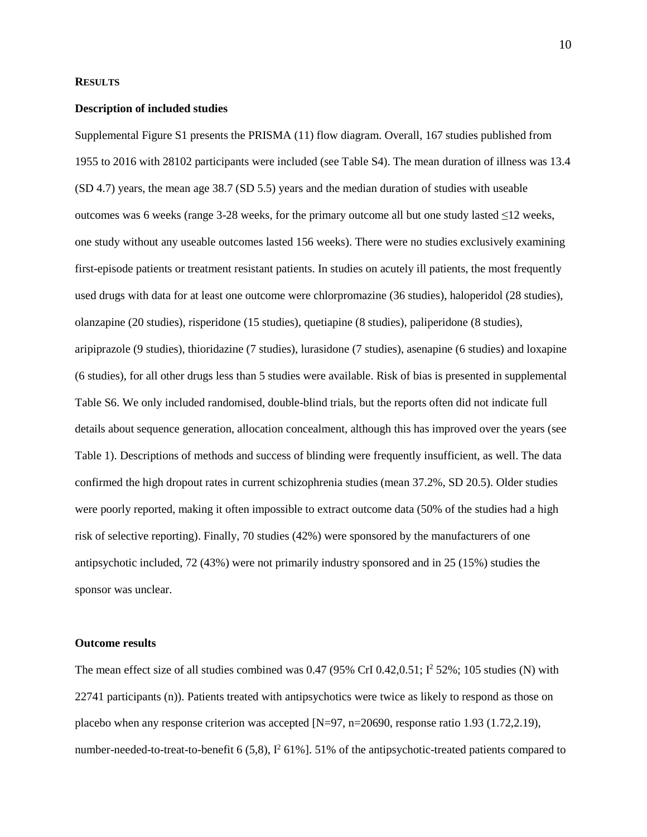# **RESULTS**

#### **Description of included studies**

Supplemental Figure S1 presents the PRISMA [\(11\)](#page-19-10) flow diagram. Overall, 167 studies published from 1955 to 2016 with 28102 participants were included (see Table S4). The mean duration of illness was 13.4 (SD 4.7) years, the mean age 38.7 (SD 5.5) years and the median duration of studies with useable outcomes was 6 weeks (range 3-28 weeks, for the primary outcome all but one study lasted  $\leq$ 12 weeks, one study without any useable outcomes lasted 156 weeks). There were no studies exclusively examining first-episode patients or treatment resistant patients. In studies on acutely ill patients, the most frequently used drugs with data for at least one outcome were chlorpromazine (36 studies), haloperidol (28 studies), olanzapine (20 studies), risperidone (15 studies), quetiapine (8 studies), paliperidone (8 studies), aripiprazole (9 studies), thioridazine (7 studies), lurasidone (7 studies), asenapine (6 studies) and loxapine (6 studies), for all other drugs less than 5 studies were available. Risk of bias is presented in supplemental Table S6. We only included randomised, double-blind trials, but the reports often did not indicate full details about sequence generation, allocation concealment, although this has improved over the years (see Table 1). Descriptions of methods and success of blinding were frequently insufficient, as well. The data confirmed the high dropout rates in current schizophrenia studies (mean 37.2%, SD 20.5). Older studies were poorly reported, making it often impossible to extract outcome data (50% of the studies had a high risk of selective reporting). Finally, 70 studies (42%) were sponsored by the manufacturers of one antipsychotic included, 72 (43%) were not primarily industry sponsored and in 25 (15%) studies the sponsor was unclear.

### **Outcome results**

The mean effect size of all studies combined was  $0.47$  (95% CrI  $0.42,0.51$ ;  $I^2$  52%; 105 studies (N) with 22741 participants (n)). Patients treated with antipsychotics were twice as likely to respond as those on placebo when any response criterion was accepted [N=97, n=20690, response ratio 1.93 (1.72,2.19), number-needed-to-treat-to-benefit 6 (5,8),  $I^2$  61%]. 51% of the antipsychotic-treated patients compared to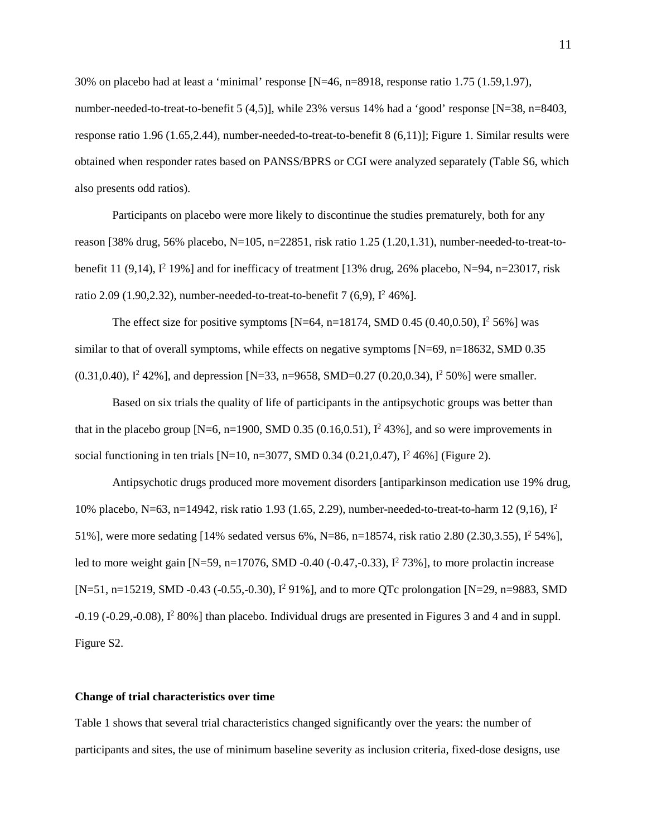30% on placebo had at least a 'minimal' response [N=46, n=8918, response ratio 1.75 (1.59,1.97), number-needed-to-treat-to-benefit 5 (4,5)], while 23% versus 14% had a 'good' response [N=38, n=8403, response ratio 1.96 (1.65,2.44), number-needed-to-treat-to-benefit 8 (6,11)]; Figure 1. Similar results were obtained when responder rates based on PANSS/BPRS or CGI were analyzed separately (Table S6, which also presents odd ratios).

Participants on placebo were more likely to discontinue the studies prematurely, both for any reason [38% drug, 56% placebo, N=105, n=22851, risk ratio 1.25 (1.20,1.31), number-needed-to-treat-tobenefit 11 (9,14),  $I^2$  19%] and for inefficacy of treatment [13% drug, 26% placebo, N=94, n=23017, risk ratio 2.09 (1.90, 2.32), number-needed-to-treat-to-benefit  $7(6,9)$ ,  $1^2 46\%$ ].

The effect size for positive symptoms  $[N=64, n=18174, SMD 0.45 (0.40, 0.50), I^2 56%]$  was similar to that of overall symptoms, while effects on negative symptoms [N=69, n=18632, SMD 0.35  $(0.31,0.40)$ ,  $I^2$  42%], and depression [N=33, n=9658, SMD=0.27 (0.20,0.34),  $I^2$  50%] were smaller.

Based on six trials the quality of life of participants in the antipsychotic groups was better than that in the placebo group  $[N=6, n=1900, SMD 0.35 (0.16, 0.51), I<sup>2</sup> 43%]$ , and so were improvements in social functioning in ten trials [N=10, n=3077, SMD 0.34 (0.21,0.47),  $I^2$  46%] (Figure 2).

Antipsychotic drugs produced more movement disorders [antiparkinson medication use 19% drug, 10% placebo, N=63, n=14942, risk ratio 1.93 (1.65, 2.29), number-needed-to-treat-to-harm 12 (9,16), I2 51%], were more sedating [14% sedated versus 6%, N=86, n=18574, risk ratio 2.80 (2.30,3.55), I2 54%], led to more weight gain  $[N=59, n=17076, SMD -0.40 (-0.47, -0.33), I<sup>2</sup> 73%]$ , to more prolactin increase [N=51, n=15219, SMD -0.43 (-0.55,-0.30), I<sup>2</sup> 91%], and to more QTc prolongation [N=29, n=9883, SMD]  $-0.19$  ( $-0.29$ , $-0.08$ ),  $1^2$  80%] than placebo. Individual drugs are presented in Figures 3 and 4 and in suppl. Figure S2.

### **Change of trial characteristics over time**

Table 1 shows that several trial characteristics changed significantly over the years: the number of participants and sites, the use of minimum baseline severity as inclusion criteria, fixed-dose designs, use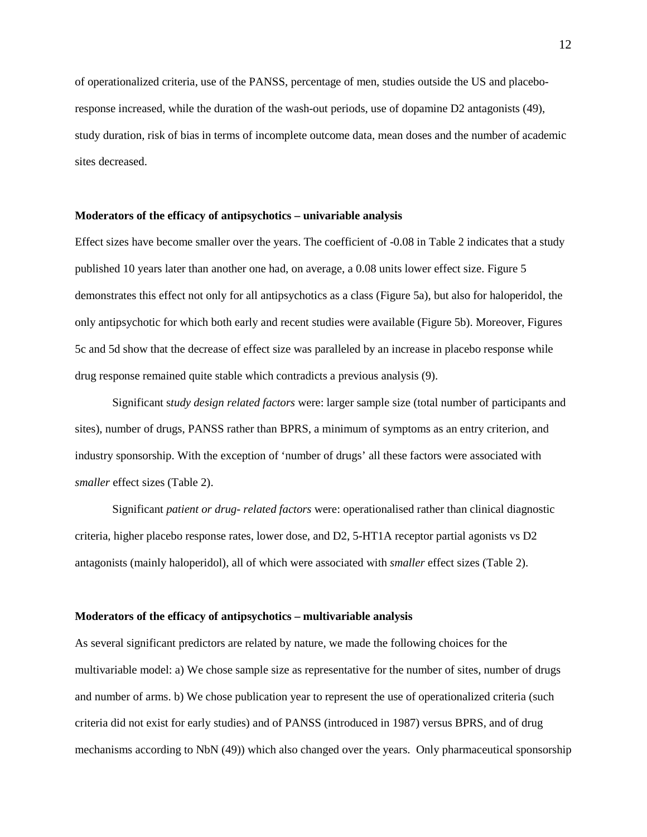of operationalized criteria, use of the PANSS, percentage of men, studies outside the US and placeboresponse increased, while the duration of the wash-out periods, use of dopamine D2 antagonists [\(49\)](#page-21-5), study duration, risk of bias in terms of incomplete outcome data, mean doses and the number of academic sites decreased.

#### **Moderators of the efficacy of antipsychotics – univariable analysis**

Effect sizes have become smaller over the years. The coefficient of -0.08 in Table 2 indicates that a study published 10 years later than another one had, on average, a 0.08 units lower effect size. Figure 5 demonstrates this effect not only for all antipsychotics as a class (Figure 5a), but also for haloperidol, the only antipsychotic for which both early and recent studies were available (Figure 5b). Moreover, Figures 5c and 5d show that the decrease of effect size was paralleled by an increase in placebo response while drug response remained quite stable which contradicts a previous analysis [\(9\)](#page-19-8).

Significant s*tudy design related factors* were: larger sample size (total number of participants and sites), number of drugs, PANSS rather than BPRS, a minimum of symptoms as an entry criterion, and industry sponsorship. With the exception of 'number of drugs' all these factors were associated with *smaller* effect sizes (Table 2).

Significant *patient or drug- related factors* were: operationalised rather than clinical diagnostic criteria, higher placebo response rates, lower dose, and D2, 5-HT1A receptor partial agonists vs D2 antagonists (mainly haloperidol), all of which were associated with *smaller* effect sizes (Table 2).

#### **Moderators of the efficacy of antipsychotics – multivariable analysis**

As several significant predictors are related by nature, we made the following choices for the multivariable model: a) We chose sample size as representative for the number of sites, number of drugs and number of arms. b) We chose publication year to represent the use of operationalized criteria (such criteria did not exist for early studies) and of PANSS (introduced in 1987) versus BPRS, and of drug mechanisms according to NbN [\(49\)](#page-21-5)) which also changed over the years. Only pharmaceutical sponsorship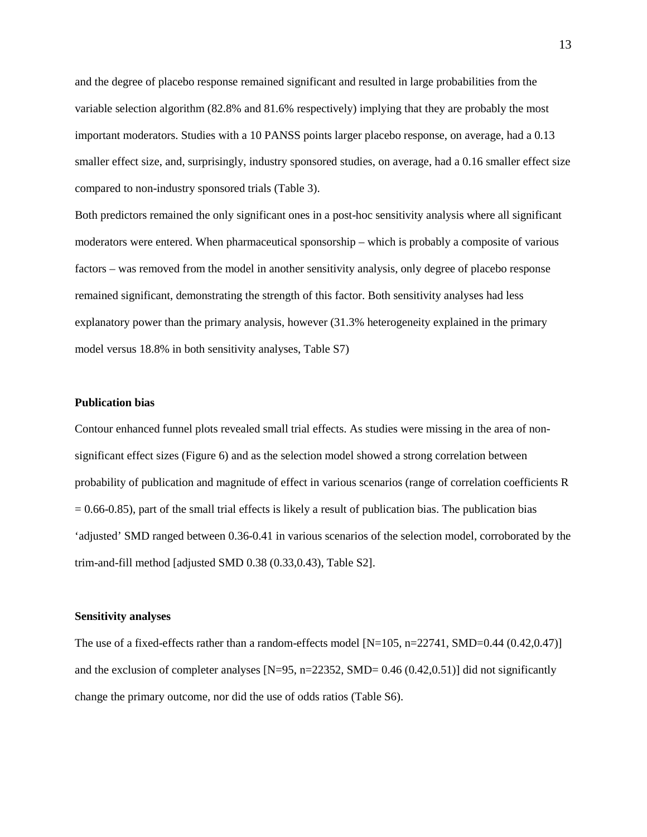and the degree of placebo response remained significant and resulted in large probabilities from the variable selection algorithm (82.8% and 81.6% respectively) implying that they are probably the most important moderators. Studies with a 10 PANSS points larger placebo response, on average, had a 0.13 smaller effect size, and, surprisingly, industry sponsored studies, on average, had a 0.16 smaller effect size compared to non-industry sponsored trials (Table 3).

Both predictors remained the only significant ones in a post-hoc sensitivity analysis where all significant moderators were entered. When pharmaceutical sponsorship – which is probably a composite of various factors – was removed from the model in another sensitivity analysis, only degree of placebo response remained significant, demonstrating the strength of this factor. Both sensitivity analyses had less explanatory power than the primary analysis, however (31.3% heterogeneity explained in the primary model versus 18.8% in both sensitivity analyses, Table S7)

### **Publication bias**

Contour enhanced funnel plots revealed small trial effects. As studies were missing in the area of nonsignificant effect sizes (Figure 6) and as the selection model showed a strong correlation between probability of publication and magnitude of effect in various scenarios (range of correlation coefficients R  $= 0.66-0.85$ ), part of the small trial effects is likely a result of publication bias. The publication bias 'adjusted' SMD ranged between 0.36-0.41 in various scenarios of the selection model, corroborated by the trim-and-fill method [adjusted SMD 0.38 (0.33,0.43), Table S2].

### **Sensitivity analyses**

The use of a fixed-effects rather than a random-effects model [N=105, n=22741, SMD=0.44 (0.42,0.47)] and the exclusion of completer analyses  $[N=95, n=22352, SMD= 0.46 (0.42, 0.51)]$  did not significantly change the primary outcome, nor did the use of odds ratios (Table S6).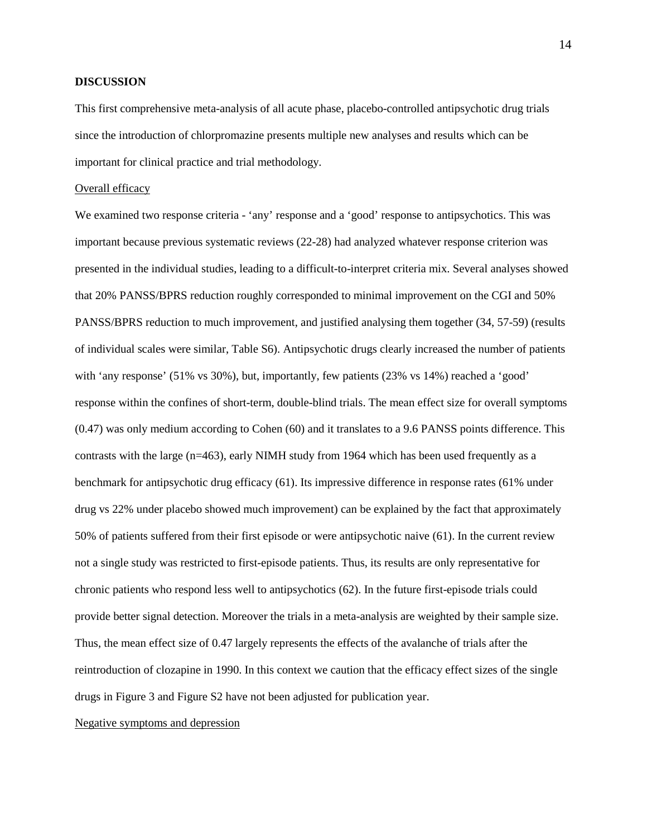### **DISCUSSION**

This first comprehensive meta-analysis of all acute phase, placebo-controlled antipsychotic drug trials since the introduction of chlorpromazine presents multiple new analyses and results which can be important for clinical practice and trial methodology.

### Overall efficacy

We examined two response criteria - 'any' response and a 'good' response to antipsychotics. This was important because previous systematic reviews [\(22-28\)](#page-20-9) had analyzed whatever response criterion was presented in the individual studies, leading to a difficult-to-interpret criteria mix. Several analyses showed that 20% PANSS/BPRS reduction roughly corresponded to minimal improvement on the CGI and 50% PANSS/BPRS reduction to much improvement, and justified analysing them together [\(34,](#page-20-10) [57-59\)](#page-21-14) (results of individual scales were similar, Table S6). Antipsychotic drugs clearly increased the number of patients with 'any response' (51% vs 30%), but, importantly, few patients (23% vs 14%) reached a 'good' response within the confines of short-term, double-blind trials. The mean effect size for overall symptoms (0.47) was only medium according to Cohen [\(60\)](#page-21-15) and it translates to a 9.6 PANSS points difference. This contrasts with the large (n=463), early NIMH study from 1964 which has been used frequently as a benchmark for antipsychotic drug efficacy [\(61\)](#page-21-16). Its impressive difference in response rates (61% under drug vs 22% under placebo showed much improvement) can be explained by the fact that approximately 50% of patients suffered from their first episode or were antipsychotic naive [\(61\)](#page-21-16). In the current review not a single study was restricted to first-episode patients. Thus, its results are only representative for chronic patients who respond less well to antipsychotics [\(62\)](#page-21-17). In the future first-episode trials could provide better signal detection. Moreover the trials in a meta-analysis are weighted by their sample size. Thus, the mean effect size of 0.47 largely represents the effects of the avalanche of trials after the reintroduction of clozapine in 1990. In this context we caution that the efficacy effect sizes of the single drugs in Figure 3 and Figure S2 have not been adjusted for publication year.

### Negative symptoms and depression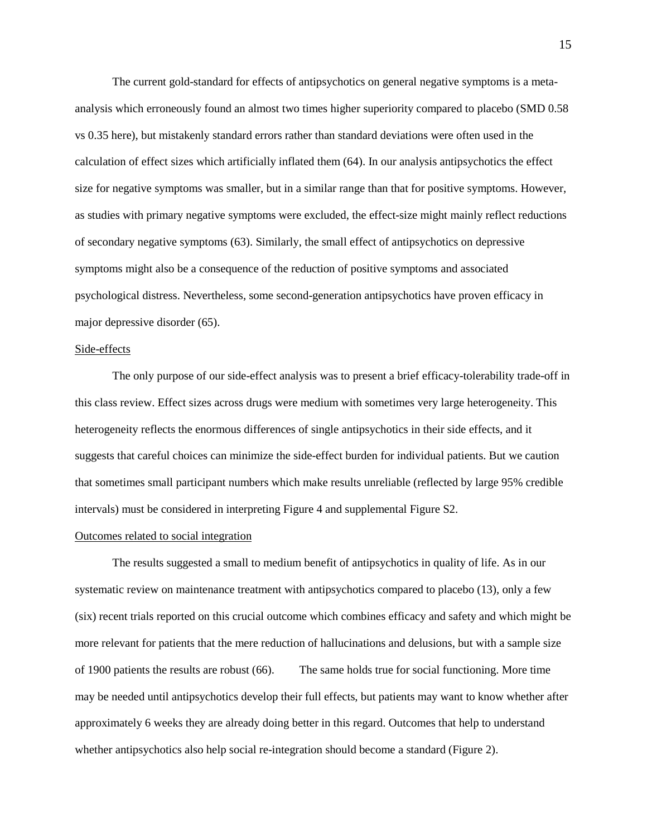The current gold-standard for effects of antipsychotics on general negative symptoms is a metaanalysis which erroneously found an almost two times higher superiority compared to placebo (SMD 0.58 vs 0.35 here), but mistakenly standard errors rather than standard deviations were often used in the calculation of effect sizes which artificially inflated them [\(64\)](#page-22-0). In our analysis antipsychotics the effect size for negative symptoms was smaller, but in a similar range than that for positive symptoms. However, as studies with primary negative symptoms were excluded, the effect-size might mainly reflect reductions of secondary negative symptoms [\(63\)](#page-21-18). Similarly, the small effect of antipsychotics on depressive symptoms might also be a consequence of the reduction of positive symptoms and associated psychological distress. Nevertheless, some second-generation antipsychotics have proven efficacy in major depressive disorder [\(65\)](#page-22-1).

#### Side-effects

The only purpose of our side-effect analysis was to present a brief efficacy-tolerability trade-off in this class review. Effect sizes across drugs were medium with sometimes very large heterogeneity. This heterogeneity reflects the enormous differences of single antipsychotics in their side effects, and it suggests that careful choices can minimize the side-effect burden for individual patients. But we caution that sometimes small participant numbers which make results unreliable (reflected by large 95% credible intervals) must be considered in interpreting Figure 4 and supplemental Figure S2.

#### Outcomes related to social integration

The results suggested a small to medium benefit of antipsychotics in quality of life. As in our systematic review on maintenance treatment with antipsychotics compared to placebo [\(13\)](#page-19-12), only a few (six) recent trials reported on this crucial outcome which combines efficacy and safety and which might be more relevant for patients that the mere reduction of hallucinations and delusions, but with a sample size of 1900 patients the results are robust [\(66\)](#page-22-2). The same holds true for social functioning. More time may be needed until antipsychotics develop their full effects, but patients may want to know whether after approximately 6 weeks they are already doing better in this regard. Outcomes that help to understand whether antipsychotics also help social re-integration should become a standard (Figure 2).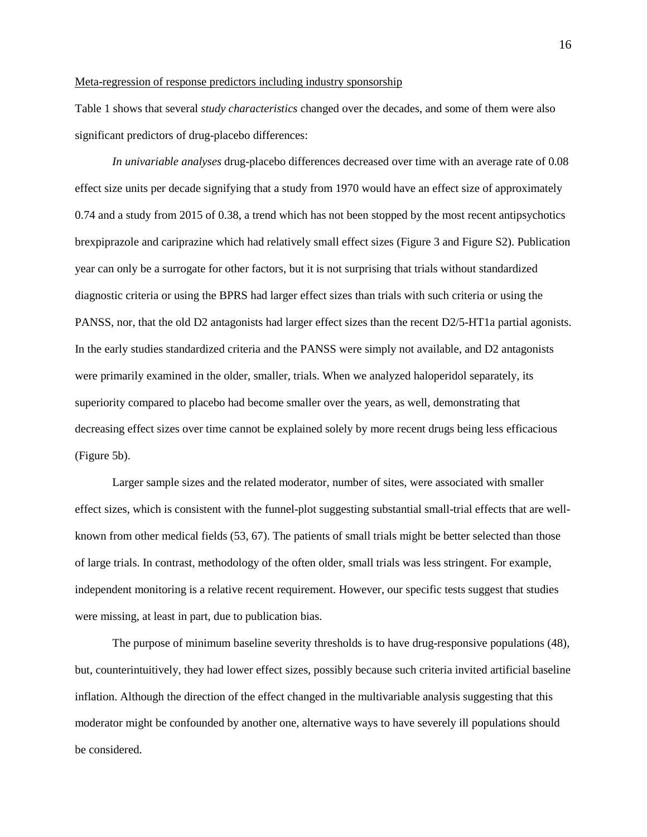#### Meta-regression of response predictors including industry sponsorship

Table 1 shows that several *study characteristics* changed over the decades, and some of them were also significant predictors of drug-placebo differences:

*In univariable analyses* drug-placebo differences decreased over time with an average rate of 0.08 effect size units per decade signifying that a study from 1970 would have an effect size of approximately 0.74 and a study from 2015 of 0.38, a trend which has not been stopped by the most recent antipsychotics brexpiprazole and cariprazine which had relatively small effect sizes (Figure 3 and Figure S2). Publication year can only be a surrogate for other factors, but it is not surprising that trials without standardized diagnostic criteria or using the BPRS had larger effect sizes than trials with such criteria or using the PANSS, nor, that the old D2 antagonists had larger effect sizes than the recent D2/5-HT1a partial agonists. In the early studies standardized criteria and the PANSS were simply not available, and D2 antagonists were primarily examined in the older, smaller, trials. When we analyzed haloperidol separately, its superiority compared to placebo had become smaller over the years, as well, demonstrating that decreasing effect sizes over time cannot be explained solely by more recent drugs being less efficacious (Figure 5b).

Larger sample sizes and the related moderator, number of sites, were associated with smaller effect sizes, which is consistent with the funnel-plot suggesting substantial small-trial effects that are wellknown from other medical fields [\(53,](#page-21-10) [67\)](#page-22-3). The patients of small trials might be better selected than those of large trials. In contrast, methodology of the often older, small trials was less stringent. For example, independent monitoring is a relative recent requirement. However, our specific tests suggest that studies were missing, at least in part, due to publication bias.

The purpose of minimum baseline severity thresholds is to have drug-responsive populations [\(48\)](#page-21-4), but, counterintuitively, they had lower effect sizes, possibly because such criteria invited artificial baseline inflation. Although the direction of the effect changed in the multivariable analysis suggesting that this moderator might be confounded by another one, alternative ways to have severely ill populations should be considered.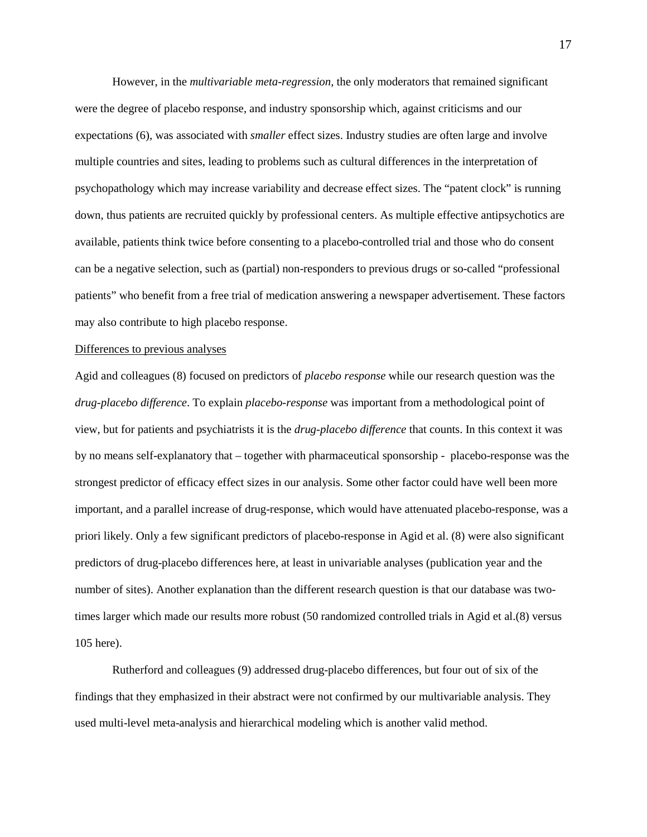However, in the *multivariable meta-regression,* the only moderators that remained significant were the degree of placebo response, and industry sponsorship which, against criticisms and our expectations [\(6\)](#page-19-5), was associated with *smaller* effect sizes. Industry studies are often large and involve multiple countries and sites, leading to problems such as cultural differences in the interpretation of psychopathology which may increase variability and decrease effect sizes. The "patent clock" is running down, thus patients are recruited quickly by professional centers. As multiple effective antipsychotics are available, patients think twice before consenting to a placebo-controlled trial and those who do consent can be a negative selection, such as (partial) non-responders to previous drugs or so-called "professional patients" who benefit from a free trial of medication answering a newspaper advertisement. These factors may also contribute to high placebo response.

#### Differences to previous analyses

Agid and colleagues [\(8\)](#page-19-7) focused on predictors of *placebo response* while our research question was the *drug-placebo difference*. To explain *placebo-response* was important from a methodological point of view, but for patients and psychiatrists it is the *drug-placebo difference* that counts. In this context it was by no means self-explanatory that – together with pharmaceutical sponsorship - placebo-response was the strongest predictor of efficacy effect sizes in our analysis. Some other factor could have well been more important, and a parallel increase of drug-response, which would have attenuated placebo-response, was a priori likely. Only a few significant predictors of placebo-response in Agid et al. [\(8\)](#page-19-7) were also significant predictors of drug-placebo differences here, at least in univariable analyses (publication year and the number of sites). Another explanation than the different research question is that our database was twotimes larger which made our results more robust (50 randomized controlled trials in Agid et al.[\(8\)](#page-19-7) versus 105 here).

Rutherford and colleagues [\(9\)](#page-19-8) addressed drug-placebo differences, but four out of six of the findings that they emphasized in their abstract were not confirmed by our multivariable analysis. They used multi-level meta-analysis and hierarchical modeling which is another valid method.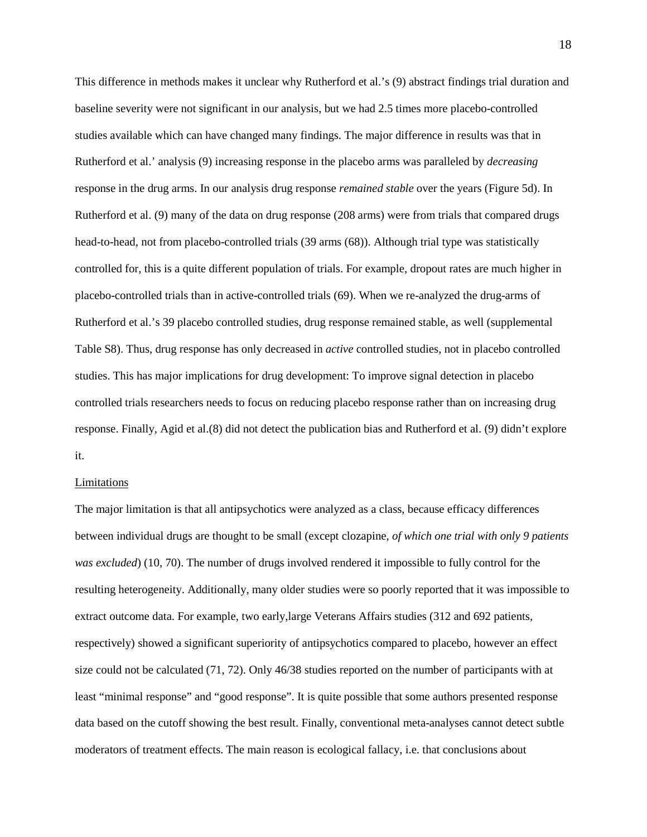This difference in methods makes it unclear why Rutherford et al.'s [\(9\)](#page-19-8) abstract findings trial duration and baseline severity were not significant in our analysis, but we had 2.5 times more placebo-controlled studies available which can have changed many findings. The major difference in results was that in Rutherford et al.' analysis [\(9\)](#page-19-8) increasing response in the placebo arms was paralleled by *decreasing* response in the drug arms. In our analysis drug response *remained stable* over the years (Figure 5d). In Rutherford et al. [\(9\)](#page-19-8) many of the data on drug response (208 arms) were from trials that compared drugs head-to-head, not from placebo-controlled trials (39 arms [\(68\)](#page-22-4)). Although trial type was statistically controlled for, this is a quite different population of trials. For example, dropout rates are much higher in placebo-controlled trials than in active-controlled trials [\(69\)](#page-22-5). When we re-analyzed the drug-arms of Rutherford et al.'s 39 placebo controlled studies, drug response remained stable, as well (supplemental Table S8). Thus, drug response has only decreased in *active* controlled studies, not in placebo controlled studies. This has major implications for drug development: To improve signal detection in placebo controlled trials researchers needs to focus on reducing placebo response rather than on increasing drug response. Finally, Agid et al.[\(8\)](#page-19-7) did not detect the publication bias and Rutherford et al. [\(9\)](#page-19-8) didn't explore it.

#### Limitations

The major limitation is that all antipsychotics were analyzed as a class, because efficacy differences between individual drugs are thought to be small (except clozapine, *of which one trial with only 9 patients was excluded*) [\(10,](#page-19-9) [70\)](#page-22-6). The number of drugs involved rendered it impossible to fully control for the resulting heterogeneity. Additionally, many older studies were so poorly reported that it was impossible to extract outcome data. For example, two early,large Veterans Affairs studies (312 and 692 patients, respectively) showed a significant superiority of antipsychotics compared to placebo, however an effect size could not be calculated [\(71,](#page-22-7) [72\)](#page-22-8). Only 46/38 studies reported on the number of participants with at least "minimal response" and "good response". It is quite possible that some authors presented response data based on the cutoff showing the best result. Finally, conventional meta-analyses cannot detect subtle moderators of treatment effects. The main reason is ecological fallacy, i.e. that conclusions about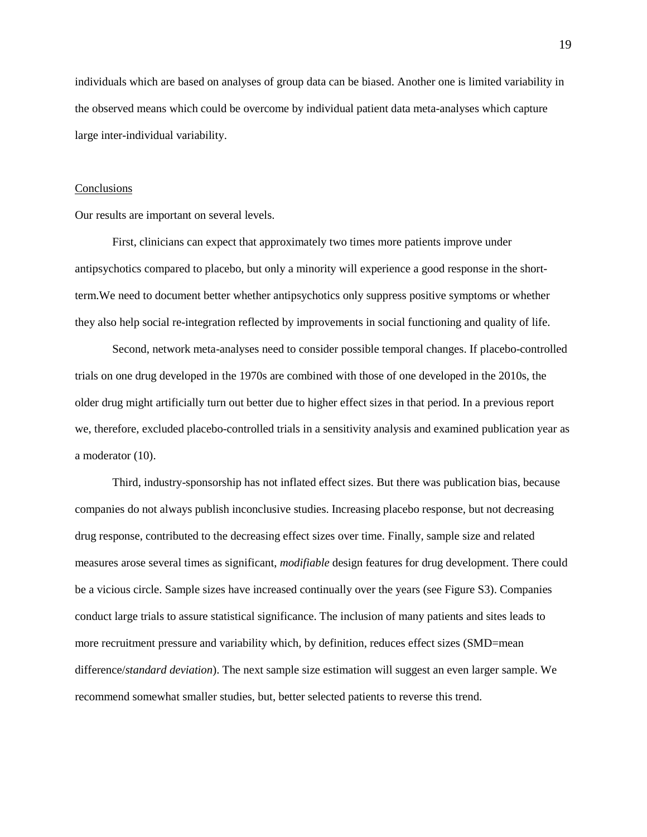individuals which are based on analyses of group data can be biased. Another one is limited variability in the observed means which could be overcome by individual patient data meta-analyses which capture large inter-individual variability.

#### Conclusions

Our results are important on several levels.

First, clinicians can expect that approximately two times more patients improve under antipsychotics compared to placebo, but only a minority will experience a good response in the shortterm.We need to document better whether antipsychotics only suppress positive symptoms or whether they also help social re-integration reflected by improvements in social functioning and quality of life.

Second, network meta-analyses need to consider possible temporal changes. If placebo-controlled trials on one drug developed in the 1970s are combined with those of one developed in the 2010s, the older drug might artificially turn out better due to higher effect sizes in that period. In a previous report we, therefore, excluded placebo-controlled trials in a sensitivity analysis and examined publication year as a moderator [\(10\)](#page-19-9).

Third, industry-sponsorship has not inflated effect sizes. But there was publication bias, because companies do not always publish inconclusive studies. Increasing placebo response, but not decreasing drug response, contributed to the decreasing effect sizes over time. Finally, sample size and related measures arose several times as significant, *modifiable* design features for drug development. There could be a vicious circle. Sample sizes have increased continually over the years (see Figure S3). Companies conduct large trials to assure statistical significance. The inclusion of many patients and sites leads to more recruitment pressure and variability which, by definition, reduces effect sizes (SMD=mean difference/*standard deviation*). The next sample size estimation will suggest an even larger sample. We recommend somewhat smaller studies, but, better selected patients to reverse this trend.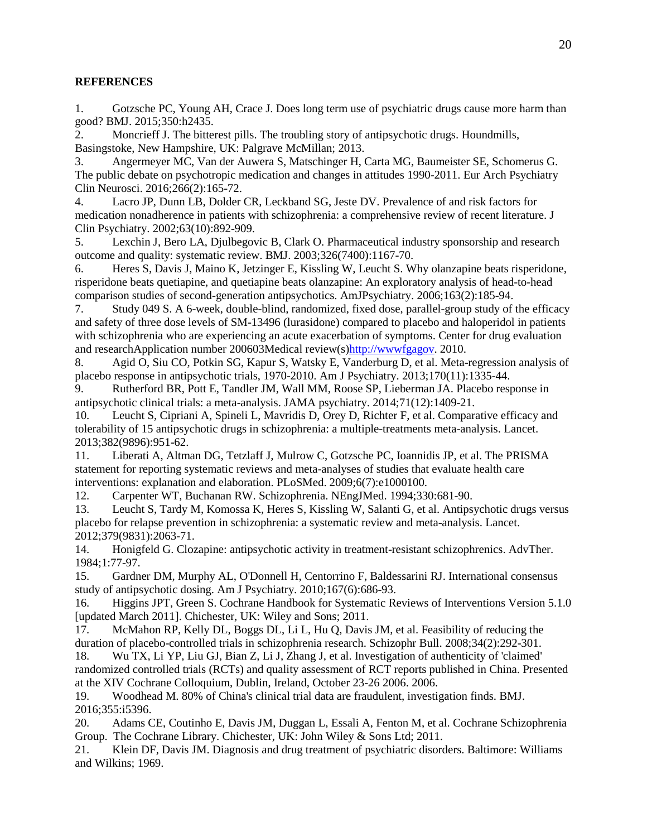# **REFERENCES**

<span id="page-19-0"></span>1. Gotzsche PC, Young AH, Crace J. Does long term use of psychiatric drugs cause more harm than good? BMJ. 2015;350:h2435.

<span id="page-19-1"></span>2. Moncrieff J. The bitterest pills. The troubling story of antipsychotic drugs. Houndmills, Basingstoke, New Hampshire, UK: Palgrave McMillan; 2013.

<span id="page-19-2"></span>3. Angermeyer MC, Van der Auwera S, Matschinger H, Carta MG, Baumeister SE, Schomerus G. The public debate on psychotropic medication and changes in attitudes 1990-2011. Eur Arch Psychiatry Clin Neurosci. 2016;266(2):165-72.

<span id="page-19-3"></span>4. Lacro JP, Dunn LB, Dolder CR, Leckband SG, Jeste DV. Prevalence of and risk factors for medication nonadherence in patients with schizophrenia: a comprehensive review of recent literature. J Clin Psychiatry. 2002;63(10):892-909.

<span id="page-19-4"></span>5. Lexchin J, Bero LA, Djulbegovic B, Clark O. Pharmaceutical industry sponsorship and research outcome and quality: systematic review. BMJ. 2003;326(7400):1167-70.

<span id="page-19-5"></span>6. Heres S, Davis J, Maino K, Jetzinger E, Kissling W, Leucht S. Why olanzapine beats risperidone, risperidone beats quetiapine, and quetiapine beats olanzapine: An exploratory analysis of head-to-head comparison studies of second-generation antipsychotics. AmJPsychiatry. 2006;163(2):185-94.

<span id="page-19-6"></span>7. Study 049 S. A 6-week, double-blind, randomized, fixed dose, parallel-group study of the efficacy and safety of three dose levels of SM-13496 (lurasidone) compared to placebo and haloperidol in patients with schizophrenia who are experiencing an acute exacerbation of symptoms. Center for drug evaluation and researchApplication number 200603Medical review(s[\)http://wwwfgagov.](http://wwwfgagov/) 2010.

<span id="page-19-7"></span>8. Agid O, Siu CO, Potkin SG, Kapur S, Watsky E, Vanderburg D, et al. Meta-regression analysis of placebo response in antipsychotic trials, 1970-2010. Am J Psychiatry. 2013;170(11):1335-44.

<span id="page-19-8"></span>9. Rutherford BR, Pott E, Tandler JM, Wall MM, Roose SP, Lieberman JA. Placebo response in antipsychotic clinical trials: a meta-analysis. JAMA psychiatry. 2014;71(12):1409-21.

<span id="page-19-9"></span>10. Leucht S, Cipriani A, Spineli L, Mavridis D, Orey D, Richter F, et al. Comparative efficacy and tolerability of 15 antipsychotic drugs in schizophrenia: a multiple-treatments meta-analysis. Lancet. 2013;382(9896):951-62.

<span id="page-19-10"></span>11. Liberati A, Altman DG, Tetzlaff J, Mulrow C, Gotzsche PC, Ioannidis JP, et al. The PRISMA statement for reporting systematic reviews and meta-analyses of studies that evaluate health care interventions: explanation and elaboration. PLoSMed. 2009;6(7):e1000100.

<span id="page-19-11"></span>12. Carpenter WT, Buchanan RW. Schizophrenia. NEngJMed. 1994;330:681-90.

<span id="page-19-12"></span>13. Leucht S, Tardy M, Komossa K, Heres S, Kissling W, Salanti G, et al. Antipsychotic drugs versus placebo for relapse prevention in schizophrenia: a systematic review and meta-analysis. Lancet. 2012;379(9831):2063-71.

<span id="page-19-13"></span>14. Honigfeld G. Clozapine: antipsychotic activity in treatment-resistant schizophrenics. AdvTher. 1984;1:77-97.

<span id="page-19-14"></span>15. Gardner DM, Murphy AL, O'Donnell H, Centorrino F, Baldessarini RJ. International consensus study of antipsychotic dosing. Am J Psychiatry. 2010;167(6):686-93.

<span id="page-19-15"></span>16. Higgins JPT, Green S. Cochrane Handbook for Systematic Reviews of Interventions Version 5.1.0 [updated March 2011]. Chichester, UK: Wiley and Sons; 2011.

<span id="page-19-16"></span>17. McMahon RP, Kelly DL, Boggs DL, Li L, Hu Q, Davis JM, et al. Feasibility of reducing the duration of placebo-controlled trials in schizophrenia research. Schizophr Bull. 2008;34(2):292-301.

<span id="page-19-17"></span>18. Wu TX, Li YP, Liu GJ, Bian Z, Li J, Zhang J, et al. Investigation of authenticity of 'claimed' randomized controlled trials (RCTs) and quality assessment of RCT reports published in China. Presented at the XIV Cochrane Colloquium, Dublin, Ireland, October 23-26 2006. 2006.

<span id="page-19-18"></span>19. Woodhead M. 80% of China's clinical trial data are fraudulent, investigation finds. BMJ. 2016;355:i5396.

<span id="page-19-19"></span>20. Adams CE, Coutinho E, Davis JM, Duggan L, Essali A, Fenton M, et al. Cochrane Schizophrenia Group. The Cochrane Library. Chichester, UK: John Wiley & Sons Ltd; 2011.

<span id="page-19-20"></span>21. Klein DF, Davis JM. Diagnosis and drug treatment of psychiatric disorders. Baltimore: Williams and Wilkins; 1969.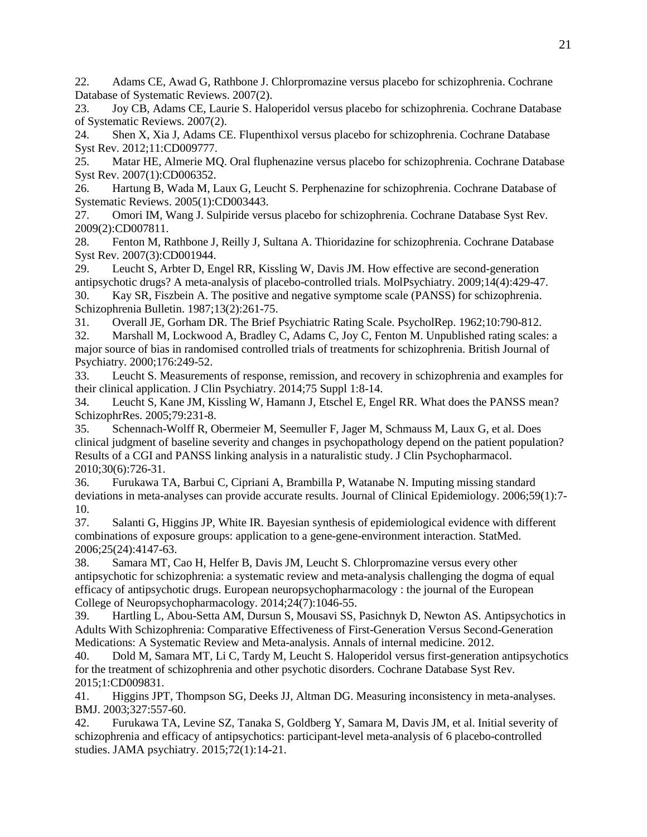<span id="page-20-9"></span>22. Adams CE, Awad G, Rathbone J. Chlorpromazine versus placebo for schizophrenia. Cochrane Database of Systematic Reviews. 2007(2).

23. Joy CB, Adams CE, Laurie S. Haloperidol versus placebo for schizophrenia. Cochrane Database of Systematic Reviews. 2007(2).

24. Shen X, Xia J, Adams CE. Flupenthixol versus placebo for schizophrenia. Cochrane Database Syst Rev. 2012;11:CD009777.

25. Matar HE, Almerie MQ. Oral fluphenazine versus placebo for schizophrenia. Cochrane Database Syst Rev. 2007(1):CD006352.

26. Hartung B, Wada M, Laux G, Leucht S. Perphenazine for schizophrenia. Cochrane Database of Systematic Reviews. 2005(1):CD003443.

27. Omori IM, Wang J. Sulpiride versus placebo for schizophrenia. Cochrane Database Syst Rev. 2009(2):CD007811.

28. Fenton M, Rathbone J, Reilly J, Sultana A. Thioridazine for schizophrenia. Cochrane Database Syst Rev. 2007(3):CD001944.

29. Leucht S, Arbter D, Engel RR, Kissling W, Davis JM. How effective are second-generation antipsychotic drugs? A meta-analysis of placebo-controlled trials. MolPsychiatry. 2009;14(4):429-47. 30. Kay SR, Fiszbein A. The positive and negative symptome scale (PANSS) for schizophrenia.

<span id="page-20-0"></span>Schizophrenia Bulletin. 1987;13(2):261-75.

<span id="page-20-1"></span>31. Overall JE, Gorham DR. The Brief Psychiatric Rating Scale. PsycholRep. 1962;10:790-812.

<span id="page-20-2"></span>32. Marshall M, Lockwood A, Bradley C, Adams C, Joy C, Fenton M. Unpublished rating scales: a major source of bias in randomised controlled trials of treatments for schizophrenia. British Journal of Psychiatry. 2000;176:249-52.

<span id="page-20-3"></span>33. Leucht S. Measurements of response, remission, and recovery in schizophrenia and examples for their clinical application. J Clin Psychiatry. 2014;75 Suppl 1:8-14.

<span id="page-20-10"></span>34. Leucht S, Kane JM, Kissling W, Hamann J, Etschel E, Engel RR. What does the PANSS mean? SchizophrRes. 2005;79:231-8.

35. Schennach-Wolff R, Obermeier M, Seemuller F, Jager M, Schmauss M, Laux G, et al. Does clinical judgment of baseline severity and changes in psychopathology depend on the patient population? Results of a CGI and PANSS linking analysis in a naturalistic study. J Clin Psychopharmacol. 2010;30(6):726-31.

<span id="page-20-4"></span>36. Furukawa TA, Barbui C, Cipriani A, Brambilla P, Watanabe N. Imputing missing standard deviations in meta-analyses can provide accurate results. Journal of Clinical Epidemiology. 2006;59(1):7- 10.

<span id="page-20-5"></span>37. Salanti G, Higgins JP, White IR. Bayesian synthesis of epidemiological evidence with different combinations of exposure groups: application to a gene-gene-environment interaction. StatMed. 2006;25(24):4147-63.

<span id="page-20-6"></span>38. Samara MT, Cao H, Helfer B, Davis JM, Leucht S. Chlorpromazine versus every other antipsychotic for schizophrenia: a systematic review and meta-analysis challenging the dogma of equal efficacy of antipsychotic drugs. European neuropsychopharmacology : the journal of the European College of Neuropsychopharmacology. 2014;24(7):1046-55.

39. Hartling L, Abou-Setta AM, Dursun S, Mousavi SS, Pasichnyk D, Newton AS. Antipsychotics in Adults With Schizophrenia: Comparative Effectiveness of First-Generation Versus Second-Generation Medications: A Systematic Review and Meta-analysis. Annals of internal medicine. 2012.

40. Dold M, Samara MT, Li C, Tardy M, Leucht S. Haloperidol versus first-generation antipsychotics for the treatment of schizophrenia and other psychotic disorders. Cochrane Database Syst Rev. 2015;1:CD009831.

<span id="page-20-7"></span>41. Higgins JPT, Thompson SG, Deeks JJ, Altman DG. Measuring inconsistency in meta-analyses. BMJ. 2003;327:557-60.

<span id="page-20-8"></span>42. Furukawa TA, Levine SZ, Tanaka S, Goldberg Y, Samara M, Davis JM, et al. Initial severity of schizophrenia and efficacy of antipsychotics: participant-level meta-analysis of 6 placebo-controlled studies. JAMA psychiatry. 2015;72(1):14-21.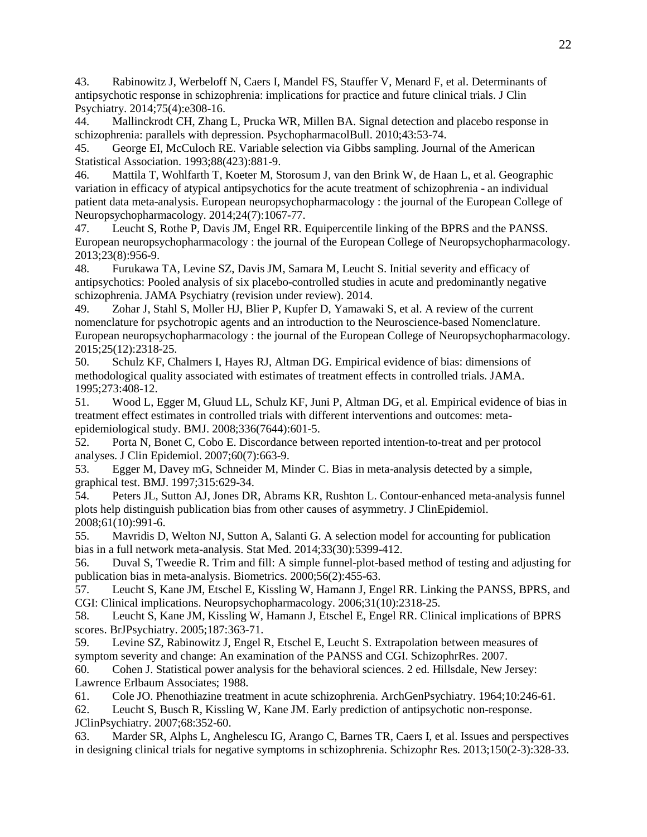<span id="page-21-1"></span>43. Rabinowitz J, Werbeloff N, Caers I, Mandel FS, Stauffer V, Menard F, et al. Determinants of antipsychotic response in schizophrenia: implications for practice and future clinical trials. J Clin Psychiatry. 2014;75(4):e308-16.<br>44. Mallinckrodt CH. Zhang

<span id="page-21-19"></span><span id="page-21-6"></span>Mallinckrodt CH, Zhang L, Prucka WR, Millen BA. Signal detection and placebo response in schizophrenia: parallels with depression. PsychopharmacolBull. 2010;43:53-74.

<span id="page-21-0"></span>45. George EI, McCuloch RE. Variable selection via Gibbs sampling. Journal of the American Statistical Association. 1993;88(423):881-9.

<span id="page-21-2"></span>46. Mattila T, Wohlfarth T, Koeter M, Storosum J, van den Brink W, de Haan L, et al. Geographic variation in efficacy of atypical antipsychotics for the acute treatment of schizophrenia - an individual patient data meta-analysis. European neuropsychopharmacology : the journal of the European College of Neuropsychopharmacology. 2014;24(7):1067-77.

<span id="page-21-3"></span>47. Leucht S, Rothe P, Davis JM, Engel RR. Equipercentile linking of the BPRS and the PANSS. European neuropsychopharmacology : the journal of the European College of Neuropsychopharmacology. 2013;23(8):956-9.

<span id="page-21-4"></span>48. Furukawa TA, Levine SZ, Davis JM, Samara M, Leucht S. Initial severity and efficacy of antipsychotics: Pooled analysis of six placebo-controlled studies in acute and predominantly negative schizophrenia. JAMA Psychiatry (revision under review). 2014.

<span id="page-21-5"></span>49. Zohar J, Stahl S, Moller HJ, Blier P, Kupfer D, Yamawaki S, et al. A review of the current nomenclature for psychotropic agents and an introduction to the Neuroscience-based Nomenclature. European neuropsychopharmacology : the journal of the European College of Neuropsychopharmacology. 2015;25(12):2318-25.

<span id="page-21-7"></span>50. Schulz KF, Chalmers I, Hayes RJ, Altman DG. Empirical evidence of bias: dimensions of methodological quality associated with estimates of treatment effects in controlled trials. JAMA. 1995;273:408-12.

<span id="page-21-8"></span>51. Wood L, Egger M, Gluud LL, Schulz KF, Juni P, Altman DG, et al. Empirical evidence of bias in treatment effect estimates in controlled trials with different interventions and outcomes: metaepidemiological study. BMJ. 2008;336(7644):601-5.

<span id="page-21-9"></span>52. Porta N, Bonet C, Cobo E. Discordance between reported intention-to-treat and per protocol analyses. J Clin Epidemiol. 2007;60(7):663-9.

<span id="page-21-10"></span>53. Egger M, Davey mG, Schneider M, Minder C. Bias in meta-analysis detected by a simple, graphical test. BMJ. 1997;315:629-34.

<span id="page-21-11"></span>54. Peters JL, Sutton AJ, Jones DR, Abrams KR, Rushton L. Contour-enhanced meta-analysis funnel plots help distinguish publication bias from other causes of asymmetry. J ClinEpidemiol. 2008;61(10):991-6.

<span id="page-21-12"></span>55. Mavridis D, Welton NJ, Sutton A, Salanti G. A selection model for accounting for publication bias in a full network meta-analysis. Stat Med. 2014;33(30):5399-412.

<span id="page-21-13"></span>56. Duval S, Tweedie R. Trim and fill: A simple funnel-plot-based method of testing and adjusting for publication bias in meta-analysis. Biometrics. 2000;56(2):455-63.

<span id="page-21-14"></span>57. Leucht S, Kane JM, Etschel E, Kissling W, Hamann J, Engel RR. Linking the PANSS, BPRS, and CGI: Clinical implications. Neuropsychopharmacology. 2006;31(10):2318-25.

58. Leucht S, Kane JM, Kissling W, Hamann J, Etschel E, Engel RR. Clinical implications of BPRS scores. BrJPsychiatry. 2005;187:363-71.

59. Levine SZ, Rabinowitz J, Engel R, Etschel E, Leucht S. Extrapolation between measures of symptom severity and change: An examination of the PANSS and CGI. SchizophrRes. 2007.

<span id="page-21-15"></span>60. Cohen J. Statistical power analysis for the behavioral sciences. 2 ed. Hillsdale, New Jersey: Lawrence Erlbaum Associates; 1988.

<span id="page-21-16"></span>61. Cole JO. Phenothiazine treatment in acute schizophrenia. ArchGenPsychiatry. 1964;10:246-61.

<span id="page-21-17"></span>62. Leucht S, Busch R, Kissling W, Kane JM. Early prediction of antipsychotic non-response. JClinPsychiatry. 2007;68:352-60.

<span id="page-21-18"></span>63. Marder SR, Alphs L, Anghelescu IG, Arango C, Barnes TR, Caers I, et al. Issues and perspectives in designing clinical trials for negative symptoms in schizophrenia. Schizophr Res. 2013;150(2-3):328-33.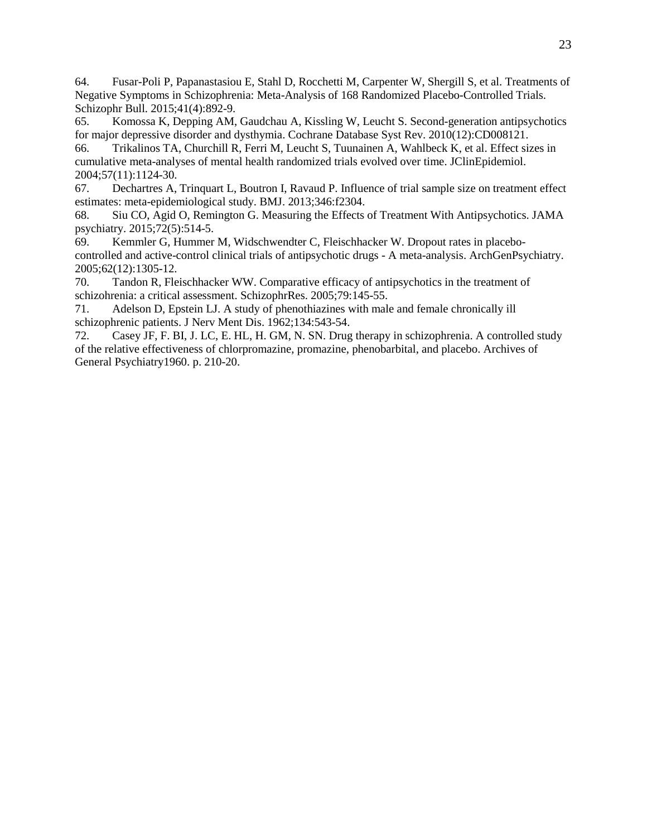<span id="page-22-0"></span>64. Fusar-Poli P, Papanastasiou E, Stahl D, Rocchetti M, Carpenter W, Shergill S, et al. Treatments of Negative Symptoms in Schizophrenia: Meta-Analysis of 168 Randomized Placebo-Controlled Trials. Schizophr Bull. 2015;41(4):892-9.<br>65. Komossa K. Depping AM.

<span id="page-22-1"></span>65. Komossa K, Depping AM, Gaudchau A, Kissling W, Leucht S. Second-generation antipsychotics for major depressive disorder and dysthymia. Cochrane Database Syst Rev. 2010(12):CD008121.

<span id="page-22-2"></span>66. Trikalinos TA, Churchill R, Ferri M, Leucht S, Tuunainen A, Wahlbeck K, et al. Effect sizes in cumulative meta-analyses of mental health randomized trials evolved over time. JClinEpidemiol. 2004;57(11):1124-30.

<span id="page-22-3"></span>67. Dechartres A, Trinquart L, Boutron I, Ravaud P. Influence of trial sample size on treatment effect estimates: meta-epidemiological study. BMJ. 2013;346:f2304.

<span id="page-22-4"></span>68. Siu CO, Agid O, Remington G. Measuring the Effects of Treatment With Antipsychotics. JAMA psychiatry. 2015;72(5):514-5.

<span id="page-22-5"></span>69. Kemmler G, Hummer M, Widschwendter C, Fleischhacker W. Dropout rates in placebocontrolled and active-control clinical trials of antipsychotic drugs - A meta-analysis. ArchGenPsychiatry. 2005;62(12):1305-12.

<span id="page-22-6"></span>70. Tandon R, Fleischhacker WW. Comparative efficacy of antipsychotics in the treatment of schizohrenia: a critical assessment. SchizophrRes. 2005;79:145-55.

<span id="page-22-7"></span>71. Adelson D, Epstein LJ. A study of phenothiazines with male and female chronically ill schizophrenic patients. J Nerv Ment Dis. 1962;134:543-54.

<span id="page-22-8"></span>72. Casey JF, F. BI, J. LC, E. HL, H. GM, N. SN. Drug therapy in schizophrenia. A controlled study of the relative effectiveness of chlorpromazine, promazine, phenobarbital, and placebo. Archives of General Psychiatry1960. p. 210-20.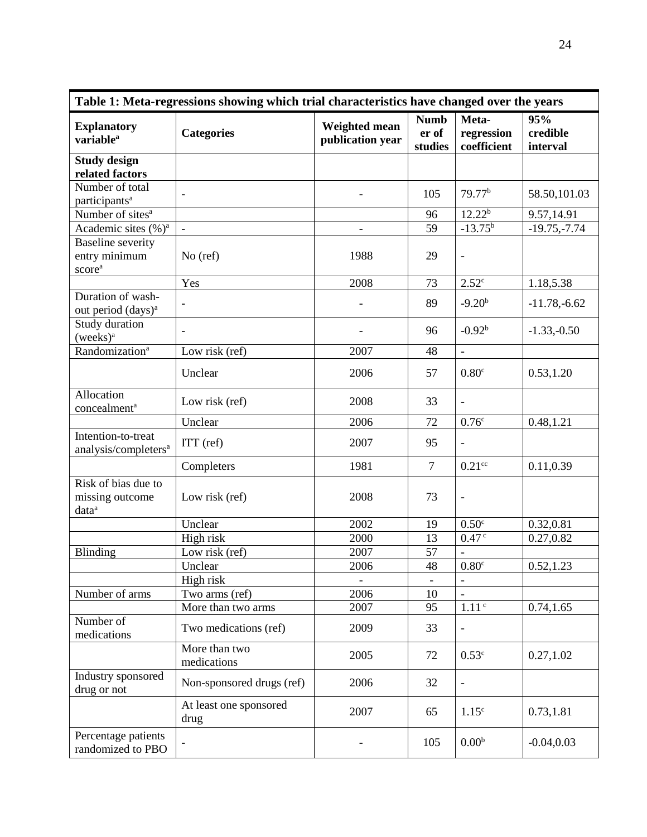| Table 1: Meta-regressions showing which trial characteristics have changed over the years |                                |                                                                             |                |                                    |                             |  |  |  |
|-------------------------------------------------------------------------------------------|--------------------------------|-----------------------------------------------------------------------------|----------------|------------------------------------|-----------------------------|--|--|--|
| <b>Explanatory</b><br>variable <sup>a</sup>                                               | <b>Categories</b>              | <b>Numb</b><br><b>Weighted mean</b><br>er of<br>publication year<br>studies |                | Meta-<br>regression<br>coefficient | 95%<br>credible<br>interval |  |  |  |
| <b>Study design</b><br>related factors                                                    |                                |                                                                             |                |                                    |                             |  |  |  |
| Number of total<br>participants <sup>a</sup>                                              |                                |                                                                             | 105            | 79.77 <sup>b</sup>                 | 58.50,101.03                |  |  |  |
| Number of sites <sup>a</sup>                                                              |                                |                                                                             | 96             | 12.22 <sup>b</sup>                 | 9.57,14.91                  |  |  |  |
| Academic sites (%) <sup>a</sup>                                                           | $\Box$                         |                                                                             | 59             | $-13.75^{b}$                       | $-19.75,-7.74$              |  |  |  |
| <b>Baseline</b> severity<br>entry minimum<br>score <sup>a</sup>                           | $No$ (ref)                     | 1988                                                                        | 29             | $\qquad \qquad \blacksquare$       |                             |  |  |  |
|                                                                                           | Yes                            | 2008                                                                        | 73             | 2.52 <sup>c</sup>                  | 1.18,5.38                   |  |  |  |
| Duration of wash-<br>out period (days) <sup>a</sup>                                       | $\overline{\phantom{a}}$       |                                                                             | 89             | $-9.20b$                           | $-11.78,-6.62$              |  |  |  |
| Study duration<br>$( weeks)^a$                                                            |                                |                                                                             | 96             | $-0.92b$                           | $-1.33,-0.50$               |  |  |  |
| Randomization <sup>a</sup>                                                                | Low risk (ref)                 | 2007                                                                        | 48             | $\overline{\phantom{a}}$           |                             |  |  |  |
|                                                                                           | Unclear                        | 2006                                                                        | 57             | 0.80 <sup>c</sup>                  | 0.53, 1.20                  |  |  |  |
| Allocation<br>concealment <sup>a</sup>                                                    | Low risk (ref)                 | 2008                                                                        | 33             | $\overline{\phantom{0}}$           |                             |  |  |  |
|                                                                                           | Unclear                        | 2006                                                                        | 72             | 0.76 <sup>c</sup>                  | 0.48,1.21                   |  |  |  |
| Intention-to-treat<br>analysis/completers <sup>a</sup>                                    | ITT (ref)                      | 2007                                                                        | 95             | $\blacksquare$                     |                             |  |  |  |
|                                                                                           | Completers                     | 1981                                                                        | $\overline{7}$ | $0.21$ <sup>cc</sup>               | 0.11,0.39                   |  |  |  |
| Risk of bias due to<br>missing outcome<br>data <sup>a</sup>                               | Low risk (ref)                 | 2008                                                                        | 73             | $\qquad \qquad -$                  |                             |  |  |  |
|                                                                                           | Unclear                        | 2002                                                                        | 19             | 0.50 <sup>c</sup>                  | 0.32,0.81                   |  |  |  |
|                                                                                           | High risk                      | 2000                                                                        | 13             | 0.47 <sup>c</sup>                  | 0.27,0.82                   |  |  |  |
| <b>Blinding</b>                                                                           | Low risk (ref)                 | 2007                                                                        | 57             |                                    |                             |  |  |  |
|                                                                                           | Unclear                        | 2006                                                                        | 48             | 0.80 <sup>c</sup>                  | 0.52, 1.23                  |  |  |  |
| Number of arms                                                                            | High risk<br>Two arms (ref)    | 2006                                                                        | 10             | $\blacksquare$                     |                             |  |  |  |
|                                                                                           | More than two arms             | 2007                                                                        | 95             | 1.11 <sup>c</sup>                  | 0.74, 1.65                  |  |  |  |
| Number of<br>medications                                                                  | Two medications (ref)          | 2009                                                                        | 33             | $\overline{\phantom{a}}$           |                             |  |  |  |
|                                                                                           | More than two<br>medications   | 2005                                                                        | 72             | 0.53 <sup>c</sup>                  | 0.27,1.02                   |  |  |  |
| Industry sponsored<br>drug or not                                                         | Non-sponsored drugs (ref)      | 2006                                                                        | 32             | $\blacksquare$                     |                             |  |  |  |
|                                                                                           | At least one sponsored<br>drug | 2007                                                                        | 65             | 1.15 <sup>c</sup>                  | 0.73,1.81                   |  |  |  |
| Percentage patients<br>randomized to PBO                                                  |                                |                                                                             | 105            | 0.00 <sup>b</sup>                  | $-0.04, 0.03$               |  |  |  |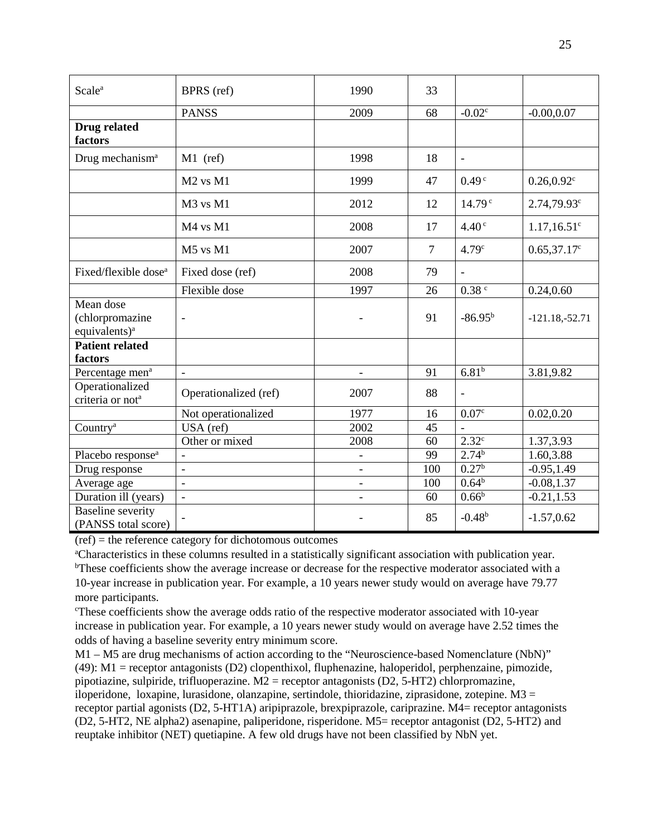| Scale <sup>a</sup>                                        | BPRS (ref)            | 1990                     | 33             |                    |                            |
|-----------------------------------------------------------|-----------------------|--------------------------|----------------|--------------------|----------------------------|
|                                                           | <b>PANSS</b>          | 2009                     | 68             | $-0.02c$           | $-0.00, 0.07$              |
| Drug related<br>factors                                   |                       |                          |                |                    |                            |
| Drug mechanism <sup>a</sup>                               | $M1$ (ref)            | 1998                     | 18             |                    |                            |
|                                                           | $M2$ vs $M1$          | 1999                     | 47             | 0.49 <sup>c</sup>  | $0.26, 0.92$ <sup>c</sup>  |
|                                                           | M3 vs M1              | 2012                     | 12             | 14.79 <sup>c</sup> | $2.74,79.93^c$             |
|                                                           | M4 vs M1              | 2008                     | 17             | 4.40 <sup>c</sup>  | $1.17, 16.51$ <sup>c</sup> |
|                                                           | M5 vs M1              | 2007                     | $\overline{7}$ | 4.79 <sup>c</sup>  | $0.65,37.17^c$             |
| Fixed/flexible dose <sup>a</sup>                          | Fixed dose (ref)      | 2008                     | 79             | $\blacksquare$     |                            |
|                                                           | Flexible dose         | 1997                     | 26             | $0.38$ $\degree$   | 0.24, 0.60                 |
| Mean dose<br>(chlorpromazine<br>equivalents) <sup>a</sup> |                       |                          | 91             | $-86.95^{b}$       | $-121.18,-52.71$           |
| <b>Patient related</b><br>factors                         |                       |                          |                |                    |                            |
| Percentage men <sup>a</sup>                               | $\bar{\phantom{a}}$   | $\blacksquare$           | 91             | 6.81 <sup>b</sup>  | 3.81,9.82                  |
| Operationalized<br>criteria or not <sup>a</sup>           | Operationalized (ref) | 2007                     | 88             | $\blacksquare$     |                            |
|                                                           | Not operationalized   | 1977                     | 16             | 0.07 <sup>c</sup>  | 0.02, 0.20                 |
| Country <sup>a</sup>                                      | USA (ref)             | 2002                     | 45             |                    |                            |
|                                                           | Other or mixed        | 2008                     | 60             | $2.32^{\circ}$     | 1.37,3.93                  |
| Placebo response <sup>a</sup>                             |                       | $\overline{\phantom{a}}$ | 99             | 2.74 <sup>b</sup>  | 1.60,3.88                  |
| Drug response                                             | $\blacksquare$        | $\overline{\phantom{a}}$ | 100            | $0.27^{b}$         | $-0.95, 1.49$              |
| Average age                                               | $\blacksquare$        | $\overline{\phantom{a}}$ | 100            | 0.64 <sup>b</sup>  | $-0.08, 1.37$              |
| Duration ill (years)                                      | $\overline{a}$        |                          | 60             | 0.66 <sup>b</sup>  | $-0.21, 1.53$              |
| <b>Baseline</b> severity<br>(PANSS total score)           |                       |                          | 85             | $-0.48b$           | $-1.57, 0.62$              |

(ref) = the reference category for dichotomous outcomes

a Characteristics in these columns resulted in a statistically significant association with publication year. <sup>b</sup>These coefficients show the average increase or decrease for the respective moderator associated with a 10-year increase in publication year. For example, a 10 years newer study would on average have 79.77 more participants.

c These coefficients show the average odds ratio of the respective moderator associated with 10-year increase in publication year. For example, a 10 years newer study would on average have 2.52 times the odds of having a baseline severity entry minimum score.

M1 – M5 are drug mechanisms of action according to the "Neuroscience-based Nomenclature (NbN)" [\(49\)](#page-21-5): M1 = receptor antagonists (D2) clopenthixol, fluphenazine, haloperidol, perphenzaine, pimozide, pipotiazine, sulpiride, trifluoperazine.  $M2$  = receptor antagonists (D2, 5-HT2) chlorpromazine, iloperidone, loxapine, lurasidone, olanzapine, sertindole, thioridazine, ziprasidone, zotepine.  $M3 =$ receptor partial agonists (D2, 5-HT1A) aripiprazole, brexpiprazole, cariprazine. M4= receptor antagonists (D2, 5-HT2, NE alpha2) asenapine, paliperidone, risperidone. M5= receptor antagonist (D2, 5-HT2) and reuptake inhibitor (NET) quetiapine. A few old drugs have not been classified by NbN yet.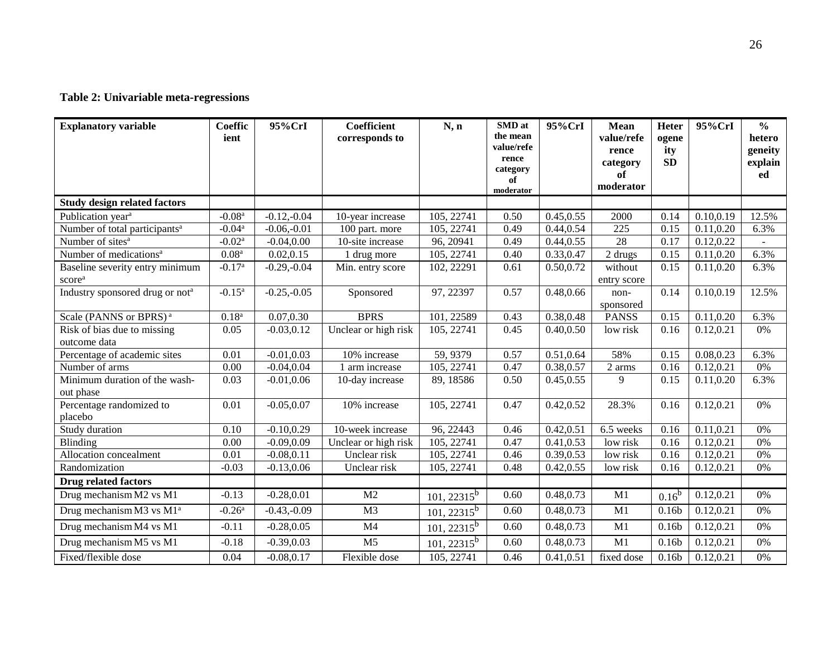# **Table 2: Univariable meta-regressions**

| <b>Explanatory variable</b>                           | <b>Coeffic</b><br>ient | 95%CrI        | <b>Coefficient</b><br>corresponds to | N, n                    | <b>SMD</b> at<br>the mean<br>value/refe<br>rence<br>category<br>of<br>moderator | 95%CrI     | <b>Mean</b><br>value/refe<br>rence<br>category<br>of<br>moderator | <b>Heter</b><br>ogene<br>ity<br><b>SD</b> | 95%CrI     | $\frac{0}{0}$<br>hetero<br>geneity<br>explain<br>ed |
|-------------------------------------------------------|------------------------|---------------|--------------------------------------|-------------------------|---------------------------------------------------------------------------------|------------|-------------------------------------------------------------------|-------------------------------------------|------------|-----------------------------------------------------|
| <b>Study design related factors</b>                   |                        |               |                                      |                         |                                                                                 |            |                                                                   |                                           |            |                                                     |
| Publication year <sup>a</sup>                         | $-0.08a$               | $-0.12,-0.04$ | 10-year increase                     | 105, 22741              | 0.50                                                                            | 0.45, 0.55 | 2000                                                              | 0.14                                      | 0.10, 0.19 | 12.5%                                               |
| Number of total participants <sup>a</sup>             | $-0.04a$               | $-0.06,-0.01$ | 100 part. more                       | 105, 22741              | 0.49                                                                            | 0.44, 0.54 | 225                                                               | 0.15                                      | 0.11, 0.20 | 6.3%                                                |
| Number of sites <sup>a</sup>                          | $-0.02a$               | $-0.04, 0.00$ | 10-site increase                     | 96, 20941               | 0.49                                                                            | 0.44, 0.55 | 28                                                                | 0.17                                      | 0.12,0.22  |                                                     |
| Number of medications <sup>a</sup>                    | 0.08 <sup>a</sup>      | 0.02, 0.15    | 1 drug more                          | 105, 22741              | 0.40                                                                            | 0.33,0.47  | 2 drugs                                                           | 0.15                                      | 0.11, 0.20 | 6.3%                                                |
| Baseline severity entry minimum<br>score <sup>a</sup> | $-0.17$ <sup>a</sup>   | $-0.29,-0.04$ | Min. entry score                     | 102, 22291              | 0.61                                                                            | 0.50,0.72  | without<br>entry score                                            | 0.15                                      | 0.11, 0.20 | 6.3%                                                |
| Industry sponsored drug or not <sup>a</sup>           | $-0.15^{\rm a}$        | $-0.25,-0.05$ | Sponsored                            | 97, 22397               | 0.57                                                                            | 0.48,0.66  | non-<br>sponsored                                                 | 0.14                                      | 0.10, 0.19 | 12.5%                                               |
| Scale (PANNS or BPRS) <sup>a</sup>                    | $0.18^{a}$             | 0.07,0.30     | <b>BPRS</b>                          | 101, 22589              | 0.43                                                                            | 0.38,0.48  | <b>PANSS</b>                                                      | 0.15                                      | 0.11, 0.20 | 6.3%                                                |
| Risk of bias due to missing<br>outcome data           | 0.05                   | $-0.03, 0.12$ | Unclear or high risk                 | 105, 22741              | 0.45                                                                            | 0.40,0.50  | low risk                                                          | 0.16                                      | 0.12, 0.21 | 0%                                                  |
| Percentage of academic sites                          | 0.01                   | $-0.01, 0.03$ | 10% increase                         | 59, 9379                | 0.57                                                                            | 0.51,0.64  | 58%                                                               | 0.15                                      | 0.08,0.23  | 6.3%                                                |
| Number of arms                                        | 0.00                   | $-0.04, 0.04$ | 1 arm increase                       | 105, 22741              | 0.47                                                                            | 0.38,0.57  | 2 arms                                                            | 0.16                                      | 0.12, 0.21 | 0%                                                  |
| Minimum duration of the wash-<br>out phase            | 0.03                   | $-0.01, 0.06$ | 10-day increase                      | 89, 18586               | 0.50                                                                            | 0.45, 0.55 | 9                                                                 | 0.15                                      | 0.11, 0.20 | 6.3%                                                |
| Percentage randomized to<br>placebo                   | 0.01                   | $-0.05, 0.07$ | 10% increase                         | 105, 22741              | 0.47                                                                            | 0.42,0.52  | 28.3%                                                             | 0.16                                      | 0.12, 0.21 | 0%                                                  |
| Study duration                                        | 0.10                   | $-0.10, 0.29$ | $10$ -week increase                  | $\overline{96}$ , 22443 | 0.46                                                                            | 0.42, 0.51 | 6.5 weeks                                                         | 0.16                                      | 0.11, 0.21 | 0%                                                  |
| Blinding                                              | 0.00                   | $-0.09, 0.09$ | Unclear or high risk                 | 105, 22741              | 0.47                                                                            | 0.41,0.53  | low risk                                                          | 0.16                                      | 0.12, 0.21 | 0%                                                  |
| Allocation concealment                                | 0.01                   | $-0.08, 0.11$ | Unclear risk                         | 105, 22741              | 0.46                                                                            | 0.39,0.53  | low risk                                                          | 0.16                                      | 0.12, 0.21 | 0%                                                  |
| Randomization                                         | $-0.03$                | $-0.13, 0.06$ | Unclear risk                         | 105, 22741              | 0.48                                                                            | 0.42, 0.55 | low risk                                                          | 0.16                                      | 0.12,0.21  | 0%                                                  |
| <b>Drug related factors</b>                           |                        |               |                                      |                         |                                                                                 |            |                                                                   |                                           |            |                                                     |
| Drug mechanism M2 vs M1                               | $-0.13$                | $-0.28, 0.01$ | M <sub>2</sub>                       | $101, 22315^b$          | 0.60                                                                            | 0.48,0.73  | M1                                                                | $0.16^{b}$                                | 0.12,0.21  | 0%                                                  |
| Drug mechanism M3 vs M1 <sup>a</sup>                  | $-0.26a$               | $-0.43,-0.09$ | M <sub>3</sub>                       | $101, 22315^b$          | 0.60                                                                            | 0.48, 0.73 | M1                                                                | 0.16 <sub>b</sub>                         | 0.12,0.21  | 0%                                                  |
| Drug mechanism M4 vs M1                               | $-0.11$                | $-0.28, 0.05$ | M <sub>4</sub>                       | $101, 22315^b$          | 0.60                                                                            | 0.48,0.73  | M1                                                                | 0.16 <sub>b</sub>                         | 0.12,0.21  | 0%                                                  |
| Drug mechanism M5 vs M1                               | $-0.18$                | $-0.39, 0.03$ | M <sub>5</sub>                       | $\frac{101}{22315}$     | 0.60                                                                            | 0.48,0.73  | M1                                                                | 0.16 <sub>b</sub>                         | 0.12, 0.21 | 0%                                                  |
| Fixed/flexible dose                                   | 0.04                   | $-0.08, 0.17$ | Flexible dose                        | 105, 22741              | 0.46                                                                            | 0.41,0.51  | fixed dose                                                        | 0.16 <sub>b</sub>                         | 0.12, 0.21 | 0%                                                  |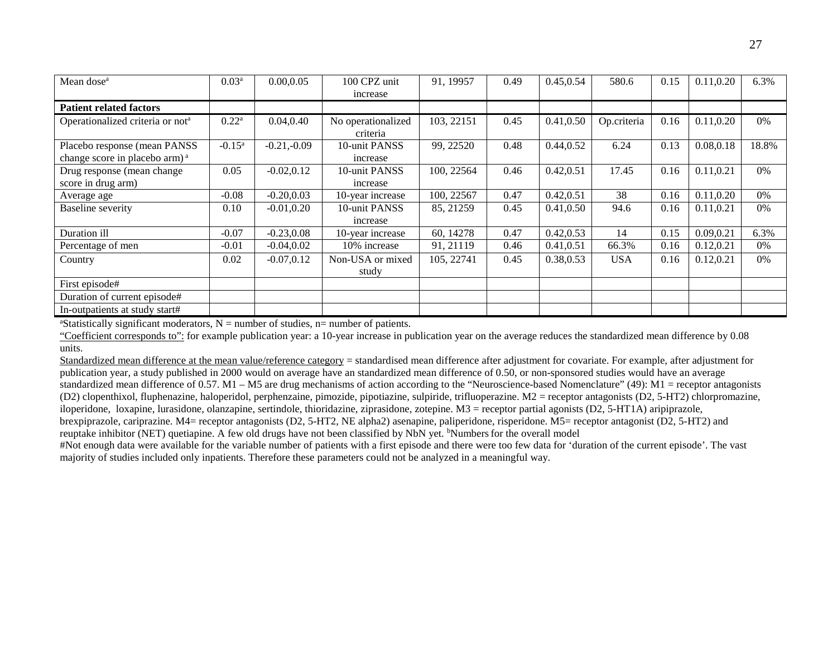| Mean dose <sup>a</sup>                                                    | 0.03 <sup>a</sup> | 0.00, 0.05    | 100 CPZ unit<br>increase       | 91, 19957  | 0.49 | 0.45,0.54  | 580.6       | 0.15 | 0.11, 0.20 | 6.3%  |
|---------------------------------------------------------------------------|-------------------|---------------|--------------------------------|------------|------|------------|-------------|------|------------|-------|
| <b>Patient related factors</b>                                            |                   |               |                                |            |      |            |             |      |            |       |
| Operationalized criteria or not <sup>a</sup>                              | $0.22^{\rm a}$    | 0.04, 0.40    | No operationalized<br>criteria | 103, 22151 | 0.45 | 0.41,0.50  | Op.criteria | 0.16 | 0.11, 0.20 | $0\%$ |
| Placebo response (mean PANSS<br>change score in placebo arm) <sup>a</sup> | $-0.15^{\rm a}$   | $-0.21,-0.09$ | 10-unit PANSS<br>increase      | 99, 22520  | 0.48 | 0.44, 0.52 | 6.24        | 0.13 | 0.08,0.18  | 18.8% |
| Drug response (mean change)<br>score in drug arm)                         | 0.05              | $-0.02, 0.12$ | 10-unit PANSS<br>increase      | 100, 22564 | 0.46 | 0.42, 0.51 | 17.45       | 0.16 | 0.11,0.21  | $0\%$ |
| Average age                                                               | $-0.08$           | $-0.20, 0.03$ | 10-year increase               | 100, 22567 | 0.47 | 0.42, 0.51 | 38          | 0.16 | 0.11, 0.20 | $0\%$ |
| <b>Baseline</b> severity                                                  | 0.10              | $-0.01, 0.20$ | 10-unit PANSS<br>increase      | 85, 21259  | 0.45 | 0.41,0.50  | 94.6        | 0.16 | 0.11, 0.21 | $0\%$ |
| Duration ill                                                              | $-0.07$           | $-0.23, 0.08$ | 10-year increase               | 60, 14278  | 0.47 | 0.42, 0.53 | 14          | 0.15 | 0.09,0.21  | 6.3%  |
| Percentage of men                                                         | $-0.01$           | $-0.04, 0.02$ | 10% increase                   | 91, 21119  | 0.46 | 0.41, 0.51 | 66.3%       | 0.16 | 0.12, 0.21 | 0%    |
| Country                                                                   | 0.02              | $-0.07, 0.12$ | Non-USA or mixed<br>study      | 105, 22741 | 0.45 | 0.38,0.53  | <b>USA</b>  | 0.16 | 0.12,0.21  | $0\%$ |
| First episode#                                                            |                   |               |                                |            |      |            |             |      |            |       |
| Duration of current episode#                                              |                   |               |                                |            |      |            |             |      |            |       |
| In-outpatients at study start#                                            |                   |               |                                |            |      |            |             |      |            |       |

<sup>a</sup>Statistically significant moderators,  $N =$  number of studies,  $n =$  number of patients.

"Coefficient corresponds to": for example publication year: a 10-year increase in publication year on the average reduces the standardized mean difference by 0.08 units.

Standardized mean difference at the mean value/reference category = standardised mean difference after adjustment for covariate. For example, after adjustment for publication year, a study published in 2000 would on average have an standardized mean difference of 0.50, or non-sponsored studies would have an average standardized mean difference of 0.57. M1 – M5 are drug mechanisms of action according to the "Neuroscience-based Nomenclature" [\(49\)](#page-21-19): M1 = receptor antagonists (D2) clopenthixol, fluphenazine, haloperidol, perphenzaine, pimozide, pipotiazine, sulpiride, trifluoperazine. M2 = receptor antagonists (D2, 5-HT2) chlorpromazine, iloperidone, loxapine, lurasidone, olanzapine, sertindole, thioridazine, ziprasidone, zotepine. M3 = receptor partial agonists (D2, 5-HT1A) aripiprazole, brexpiprazole, cariprazine. M4= receptor antagonists (D2, 5-HT2, NE alpha2) asenapine, paliperidone, risperidone. M5= receptor antagonist (D2, 5-HT2) and

reuptake inhibitor (NET) quetiapine. A few old drugs have not been classified by NbN yet. <sup>b</sup>Numbers for the overall model

#Not enough data were available for the variable number of patients with a first episode and there were too few data for 'duration of the current episode'. The vast majority of studies included only inpatients. Therefore these parameters could not be analyzed in a meaningful way.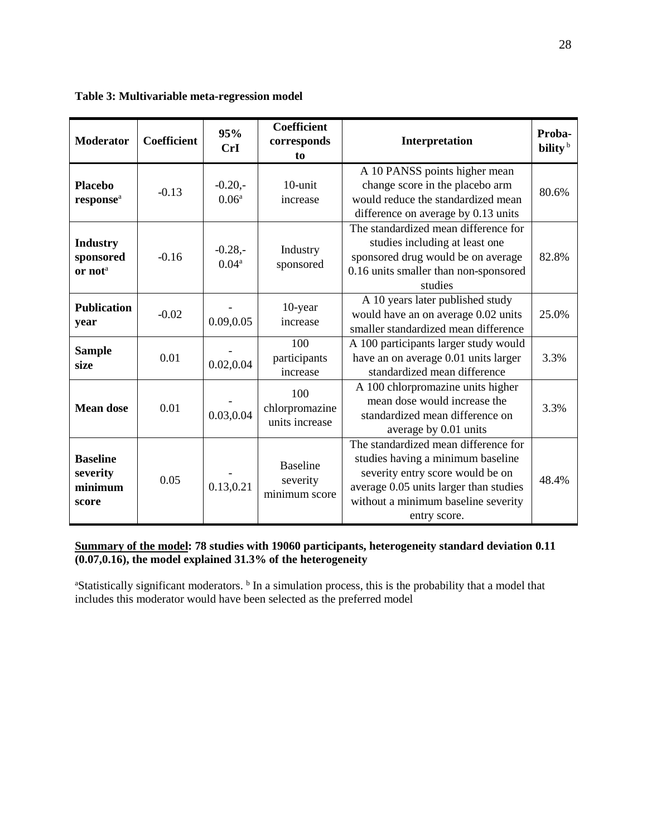| Table 3: Multivariable meta-regression model |  |  |
|----------------------------------------------|--|--|
|----------------------------------------------|--|--|

| <b>Moderator</b>                                    | <b>Coefficient</b> | 95%<br>CrI                     | <b>Coefficient</b><br>corresponds<br>to      | Interpretation                                                                                                                                                                                                 | Proba-<br>bility <sup>b</sup> |
|-----------------------------------------------------|--------------------|--------------------------------|----------------------------------------------|----------------------------------------------------------------------------------------------------------------------------------------------------------------------------------------------------------------|-------------------------------|
| <b>Placebo</b><br>response <sup>a</sup>             | $-0.13$            | $-0.20,-$<br>0.06 <sup>a</sup> | 10-unit<br>increase                          | A 10 PANSS points higher mean<br>change score in the placebo arm<br>would reduce the standardized mean<br>difference on average by 0.13 units                                                                  | 80.6%                         |
| <b>Industry</b><br>sponsored<br>or not <sup>a</sup> | $-0.16$            | $-0.28,-$<br>0.04 <sup>a</sup> | Industry<br>sponsored                        | The standardized mean difference for<br>studies including at least one<br>sponsored drug would be on average<br>0.16 units smaller than non-sponsored<br>studies                                               | 82.8%                         |
| <b>Publication</b><br>year                          | $-0.02$            | 0.09, 0.05                     | $10$ -year<br>increase                       | A 10 years later published study<br>would have an on average 0.02 units<br>smaller standardized mean difference                                                                                                | 25.0%                         |
| <b>Sample</b><br>size                               | 0.01               | 0.02, 0.04                     | 100<br>participants<br>increase              | A 100 participants larger study would<br>have an on average 0.01 units larger<br>standardized mean difference                                                                                                  | 3.3%                          |
| <b>Mean dose</b>                                    | 0.01               | 0.03,0.04                      | 100<br>chlorpromazine<br>units increase      | A 100 chlorpromazine units higher<br>mean dose would increase the<br>standardized mean difference on<br>average by 0.01 units                                                                                  | 3.3%                          |
| <b>Baseline</b><br>severity<br>minimum<br>score     | 0.05               | 0.13,0.21                      | <b>Baseline</b><br>severity<br>minimum score | The standardized mean difference for<br>studies having a minimum baseline<br>severity entry score would be on<br>average 0.05 units larger than studies<br>without a minimum baseline severity<br>entry score. | 48.4%                         |

# **Summary of the model: 78 studies with 19060 participants, heterogeneity standard deviation 0.11 (0.07,0.16), the model explained 31.3% of the heterogeneity**

<sup>a</sup>Statistically significant moderators. <sup>b</sup> In a simulation process, this is the probability that a model that includes this moderator would have been selected as the preferred model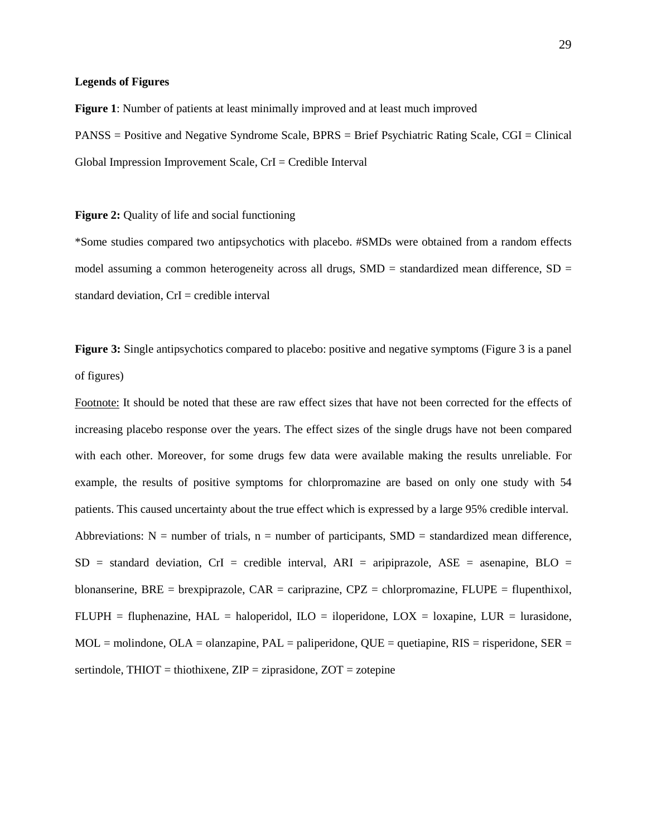#### **Legends of Figures**

**Figure 1**: Number of patients at least minimally improved and at least much improved PANSS = Positive and Negative Syndrome Scale, BPRS = Brief Psychiatric Rating Scale, CGI = Clinical Global Impression Improvement Scale, CrI = Credible Interval

**Figure 2:** Quality of life and social functioning

\*Some studies compared two antipsychotics with placebo. #SMDs were obtained from a random effects model assuming a common heterogeneity across all drugs,  $SMD =$  standardized mean difference,  $SD =$ standard deviation,  $CrI = c$  redible interval

**Figure 3:** Single antipsychotics compared to placebo: positive and negative symptoms (Figure 3 is a panel) of figures)

Footnote: It should be noted that these are raw effect sizes that have not been corrected for the effects of increasing placebo response over the years. The effect sizes of the single drugs have not been compared with each other. Moreover, for some drugs few data were available making the results unreliable. For example, the results of positive symptoms for chlorpromazine are based on only one study with 54 patients. This caused uncertainty about the true effect which is expressed by a large 95% credible interval. Abbreviations:  $N =$  number of trials,  $n =$  number of participants,  $SMD =$  standardized mean difference,  $SD = standard deviation, CrI = credible interval, ARI = aripiprazole, ASE = asenapine, BLO =$ blonanserine, BRE = brexpiprazole, CAR = cariprazine, CPZ = chlorpromazine, FLUPE = flupenthixol, FLUPH = fluphenazine,  $HAL = haloperidol$ ,  $ILO = iloperidone$ ,  $LOX = loxapine$ ,  $LUR = lurasidone$ ,  $MOL =$  molindone,  $OLA =$  olanzapine,  $PAL =$  paliperidone,  $QUE =$  quetiapine,  $RIS =$  risperidone,  $SER =$ sertindole,  $THIOT = thiothixene$ ,  $ZIP = ziprasidone$ ,  $ZOT = zotepine$